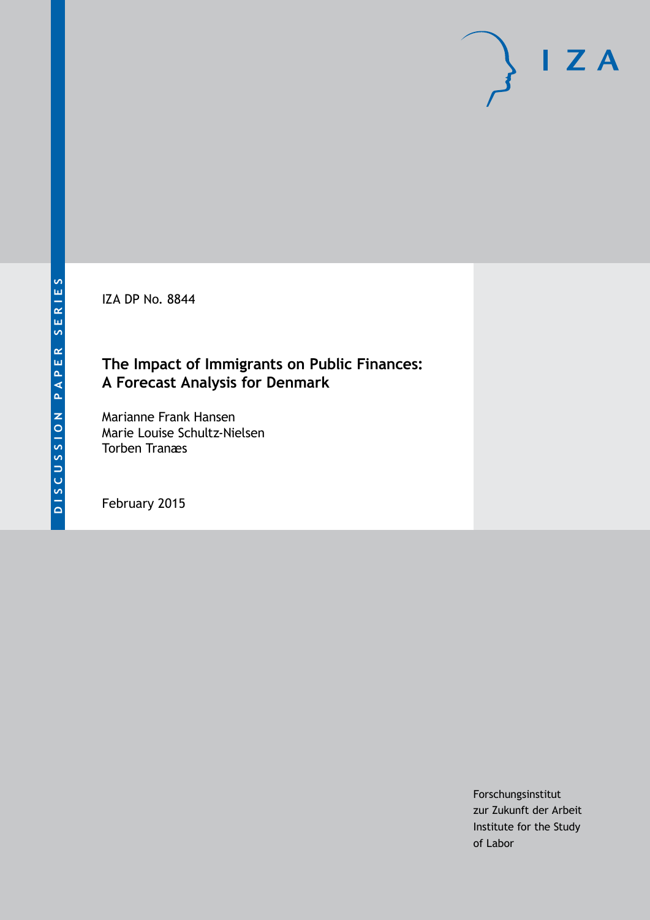IZA DP No. 8844

# **The Impact of Immigrants on Public Finances: A Forecast Analysis for Denmark**

Marianne Frank Hansen Marie Louise Schultz-Nielsen Torben Tranæs

February 2015

Forschungsinstitut zur Zukunft der Arbeit Institute for the Study of Labor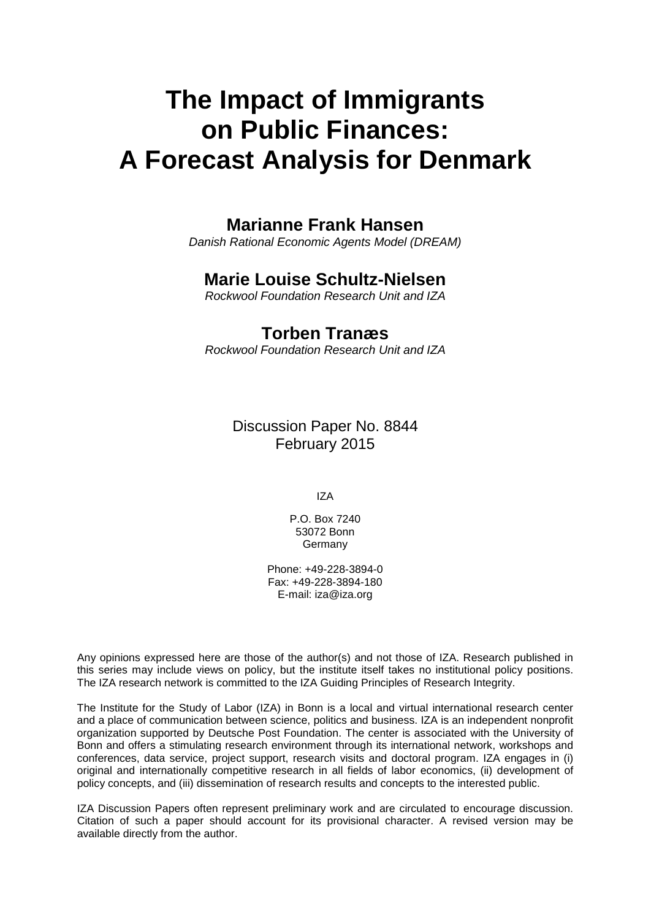# **The Impact of Immigrants on Public Finances: A Forecast Analysis for Denmark**

## **Marianne Frank Hansen**

*Danish Rational Economic Agents Model (DREAM)*

## **Marie Louise Schultz-Nielsen**

*Rockwool Foundation Research Unit and IZA*

## **Torben Tranæs**

*Rockwool Foundation Research Unit and IZA*

Discussion Paper No. 8844 February 2015

IZA

P.O. Box 7240 53072 Bonn Germany

Phone: +49-228-3894-0 Fax: +49-228-3894-180 E-mail: [iza@iza.org](mailto:iza@iza.org)

Any opinions expressed here are those of the author(s) and not those of IZA. Research published in this series may include views on policy, but the institute itself takes no institutional policy positions. The IZA research network is committed to the IZA Guiding Principles of Research Integrity.

The Institute for the Study of Labor (IZA) in Bonn is a local and virtual international research center and a place of communication between science, politics and business. IZA is an independent nonprofit organization supported by Deutsche Post Foundation. The center is associated with the University of Bonn and offers a stimulating research environment through its international network, workshops and conferences, data service, project support, research visits and doctoral program. IZA engages in (i) original and internationally competitive research in all fields of labor economics, (ii) development of policy concepts, and (iii) dissemination of research results and concepts to the interested public.

IZA Discussion Papers often represent preliminary work and are circulated to encourage discussion. Citation of such a paper should account for its provisional character. A revised version may be available directly from the author.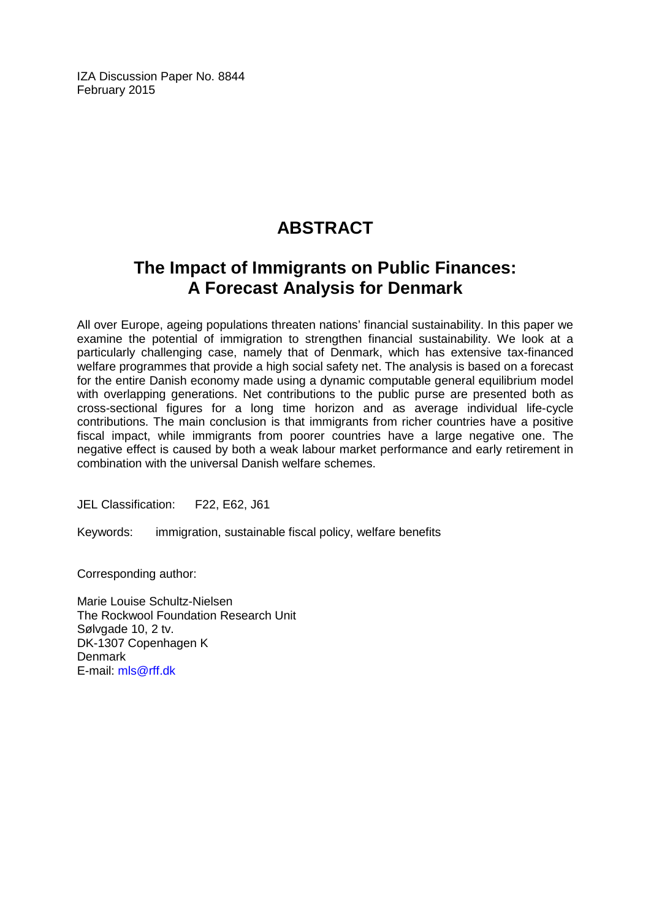IZA Discussion Paper No. 8844 February 2015

# **ABSTRACT**

# **The Impact of Immigrants on Public Finances: A Forecast Analysis for Denmark**

All over Europe, ageing populations threaten nations' financial sustainability. In this paper we examine the potential of immigration to strengthen financial sustainability. We look at a particularly challenging case, namely that of Denmark, which has extensive tax-financed welfare programmes that provide a high social safety net. The analysis is based on a forecast for the entire Danish economy made using a dynamic computable general equilibrium model with overlapping generations. Net contributions to the public purse are presented both as cross-sectional figures for a long time horizon and as average individual life-cycle contributions. The main conclusion is that immigrants from richer countries have a positive fiscal impact, while immigrants from poorer countries have a large negative one. The negative effect is caused by both a weak labour market performance and early retirement in combination with the universal Danish welfare schemes.

JEL Classification: F22, E62, J61

Keywords: immigration, sustainable fiscal policy, welfare benefits

Corresponding author:

Marie Louise Schultz-Nielsen The Rockwool Foundation Research Unit Sølvgade 10, 2 tv. DK-1307 Copenhagen K **Denmark** E-mail: [mls@rff.dk](mailto:mls@rff.dk)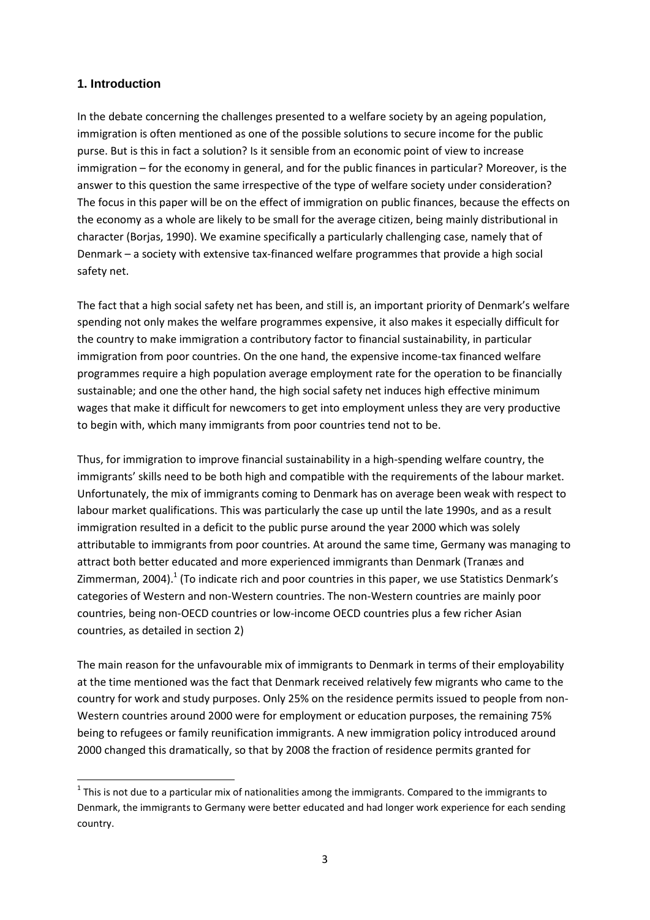#### **1. Introduction**

1

In the debate concerning the challenges presented to a welfare society by an ageing population, immigration is often mentioned as one of the possible solutions to secure income for the public purse. But is this in fact a solution? Is it sensible from an economic point of view to increase immigration – for the economy in general, and for the public finances in particular? Moreover, is the answer to this question the same irrespective of the type of welfare society under consideration? The focus in this paper will be on the effect of immigration on public finances, because the effects on the economy as a whole are likely to be small for the average citizen, being mainly distributional in character (Borjas, 1990). We examine specifically a particularly challenging case, namely that of Denmark – a society with extensive tax-financed welfare programmes that provide a high social safety net.

The fact that a high social safety net has been, and still is, an important priority of Denmark's welfare spending not only makes the welfare programmes expensive, it also makes it especially difficult for the country to make immigration a contributory factor to financial sustainability, in particular immigration from poor countries. On the one hand, the expensive income-tax financed welfare programmes require a high population average employment rate for the operation to be financially sustainable; and one the other hand, the high social safety net induces high effective minimum wages that make it difficult for newcomers to get into employment unless they are very productive to begin with, which many immigrants from poor countries tend not to be.

Thus, for immigration to improve financial sustainability in a high-spending welfare country, the immigrants' skills need to be both high and compatible with the requirements of the labour market. Unfortunately, the mix of immigrants coming to Denmark has on average been weak with respect to labour market qualifications. This was particularly the case up until the late 1990s, and as a result immigration resulted in a deficit to the public purse around the year 2000 which was solely attributable to immigrants from poor countries. At around the same time, Germany was managing to attract both better educated and more experienced immigrants than Denmark (Tranæs and Zimmerman, 2004).<sup>1</sup> (To indicate rich and poor countries in this paper, we use Statistics Denmark's categories of Western and non-Western countries. The non-Western countries are mainly poor countries, being non-OECD countries or low-income OECD countries plus a few richer Asian countries, as detailed in section 2)

The main reason for the unfavourable mix of immigrants to Denmark in terms of their employability at the time mentioned was the fact that Denmark received relatively few migrants who came to the country for work and study purposes. Only 25% on the residence permits issued to people from non-Western countries around 2000 were for employment or education purposes, the remaining 75% being to refugees or family reunification immigrants. A new immigration policy introduced around 2000 changed this dramatically, so that by 2008 the fraction of residence permits granted for

 $1$  This is not due to a particular mix of nationalities among the immigrants. Compared to the immigrants to Denmark, the immigrants to Germany were better educated and had longer work experience for each sending country.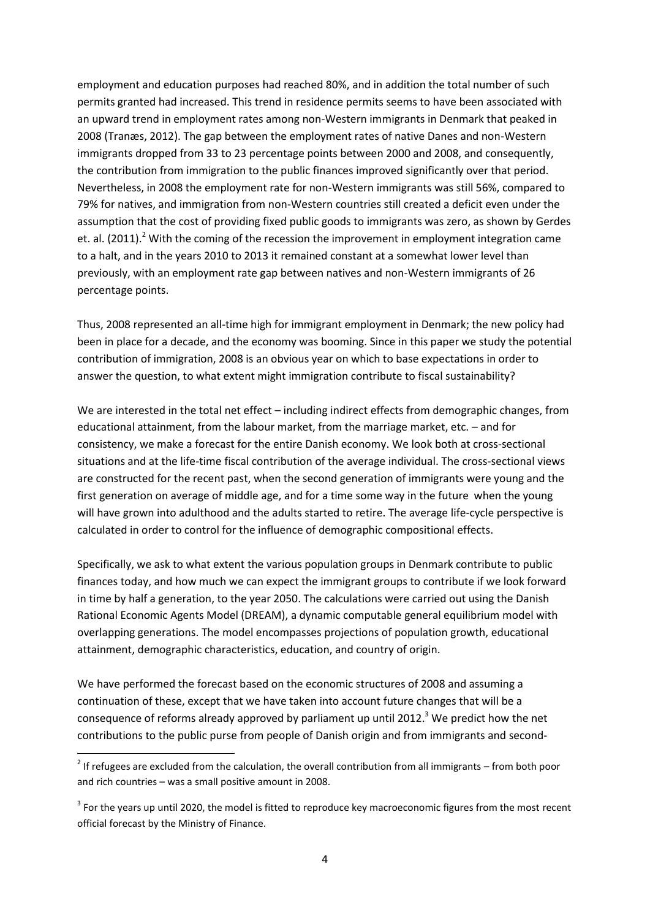employment and education purposes had reached 80%, and in addition the total number of such permits granted had increased. This trend in residence permits seems to have been associated with an upward trend in employment rates among non-Western immigrants in Denmark that peaked in 2008 (Tranæs, 2012). The gap between the employment rates of native Danes and non-Western immigrants dropped from 33 to 23 percentage points between 2000 and 2008, and consequently, the contribution from immigration to the public finances improved significantly over that period. Nevertheless, in 2008 the employment rate for non-Western immigrants was still 56%, compared to 79% for natives, and immigration from non-Western countries still created a deficit even under the assumption that the cost of providing fixed public goods to immigrants was zero, as shown by Gerdes et. al. (2011).<sup>2</sup> With the coming of the recession the improvement in employment integration came to a halt, and in the years 2010 to 2013 it remained constant at a somewhat lower level than previously, with an employment rate gap between natives and non-Western immigrants of 26 percentage points.

Thus, 2008 represented an all-time high for immigrant employment in Denmark; the new policy had been in place for a decade, and the economy was booming. Since in this paper we study the potential contribution of immigration, 2008 is an obvious year on which to base expectations in order to answer the question, to what extent might immigration contribute to fiscal sustainability?

We are interested in the total net effect – including indirect effects from demographic changes, from educational attainment, from the labour market, from the marriage market, etc. – and for consistency, we make a forecast for the entire Danish economy. We look both at cross-sectional situations and at the life-time fiscal contribution of the average individual. The cross-sectional views are constructed for the recent past, when the second generation of immigrants were young and the first generation on average of middle age, and for a time some way in the future when the young will have grown into adulthood and the adults started to retire. The average life-cycle perspective is calculated in order to control for the influence of demographic compositional effects.

Specifically, we ask to what extent the various population groups in Denmark contribute to public finances today, and how much we can expect the immigrant groups to contribute if we look forward in time by half a generation, to the year 2050. The calculations were carried out using the Danish Rational Economic Agents Model (DREAM), a dynamic computable general equilibrium model with overlapping generations. The model encompasses projections of population growth, educational attainment, demographic characteristics, education, and country of origin.

We have performed the forecast based on the economic structures of 2008 and assuming a continuation of these, except that we have taken into account future changes that will be a consequence of reforms already approved by parliament up until 2012.<sup>3</sup> We predict how the net contributions to the public purse from people of Danish origin and from immigrants and second-

1

 $2$  If refugees are excluded from the calculation, the overall contribution from all immigrants – from both poor and rich countries – was a small positive amount in 2008.

 $3$  For the years up until 2020, the model is fitted to reproduce key macroeconomic figures from the most recent official forecast by the Ministry of Finance.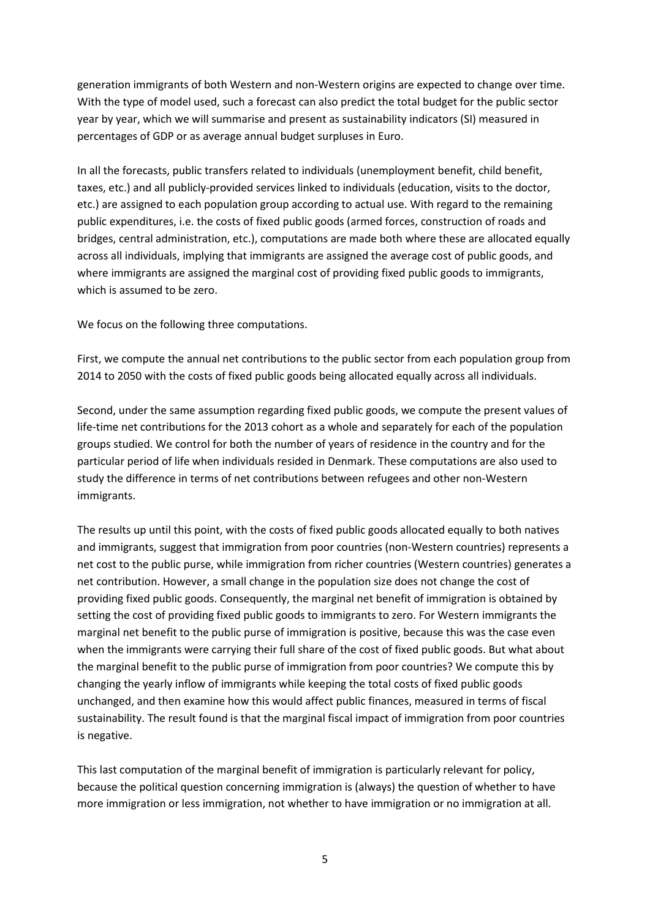generation immigrants of both Western and non-Western origins are expected to change over time. With the type of model used, such a forecast can also predict the total budget for the public sector year by year, which we will summarise and present as sustainability indicators (SI) measured in percentages of GDP or as average annual budget surpluses in Euro.

In all the forecasts, public transfers related to individuals (unemployment benefit, child benefit, taxes, etc.) and all publicly-provided services linked to individuals (education, visits to the doctor, etc.) are assigned to each population group according to actual use. With regard to the remaining public expenditures, i.e. the costs of fixed public goods (armed forces, construction of roads and bridges, central administration, etc.), computations are made both where these are allocated equally across all individuals, implying that immigrants are assigned the average cost of public goods, and where immigrants are assigned the marginal cost of providing fixed public goods to immigrants, which is assumed to be zero.

We focus on the following three computations.

First, we compute the annual net contributions to the public sector from each population group from 2014 to 2050 with the costs of fixed public goods being allocated equally across all individuals.

Second, under the same assumption regarding fixed public goods, we compute the present values of life-time net contributions for the 2013 cohort as a whole and separately for each of the population groups studied. We control for both the number of years of residence in the country and for the particular period of life when individuals resided in Denmark. These computations are also used to study the difference in terms of net contributions between refugees and other non-Western immigrants.

The results up until this point, with the costs of fixed public goods allocated equally to both natives and immigrants, suggest that immigration from poor countries (non-Western countries) represents a net cost to the public purse, while immigration from richer countries (Western countries) generates a net contribution. However, a small change in the population size does not change the cost of providing fixed public goods. Consequently, the marginal net benefit of immigration is obtained by setting the cost of providing fixed public goods to immigrants to zero. For Western immigrants the marginal net benefit to the public purse of immigration is positive, because this was the case even when the immigrants were carrying their full share of the cost of fixed public goods. But what about the marginal benefit to the public purse of immigration from poor countries? We compute this by changing the yearly inflow of immigrants while keeping the total costs of fixed public goods unchanged, and then examine how this would affect public finances, measured in terms of fiscal sustainability. The result found is that the marginal fiscal impact of immigration from poor countries is negative.

This last computation of the marginal benefit of immigration is particularly relevant for policy, because the political question concerning immigration is (always) the question of whether to have more immigration or less immigration, not whether to have immigration or no immigration at all.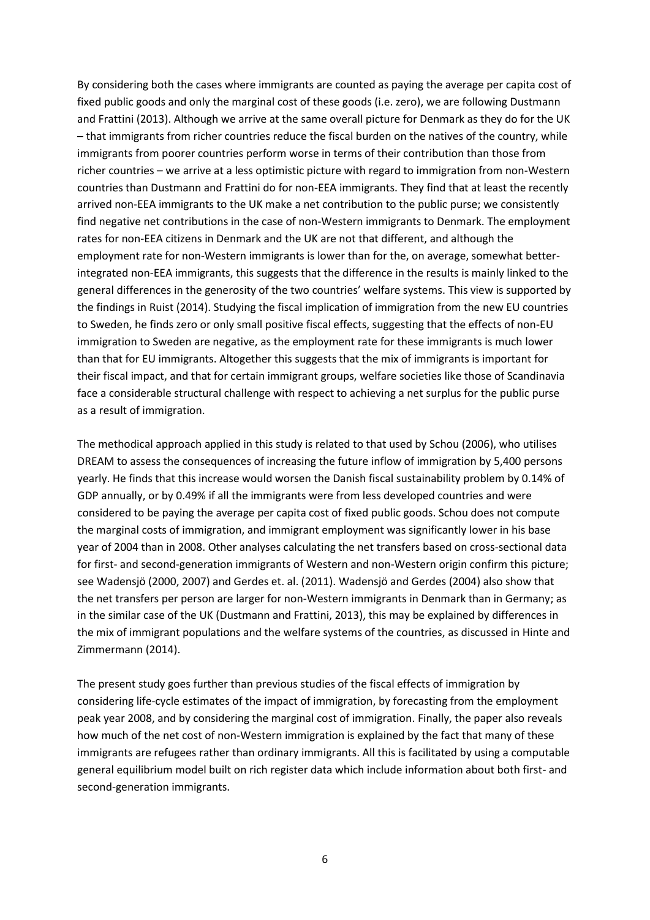By considering both the cases where immigrants are counted as paying the average per capita cost of fixed public goods and only the marginal cost of these goods (i.e. zero), we are following Dustmann and Frattini (2013). Although we arrive at the same overall picture for Denmark as they do for the UK – that immigrants from richer countries reduce the fiscal burden on the natives of the country, while immigrants from poorer countries perform worse in terms of their contribution than those from richer countries – we arrive at a less optimistic picture with regard to immigration from non-Western countries than Dustmann and Frattini do for non-EEA immigrants. They find that at least the recently arrived non-EEA immigrants to the UK make a net contribution to the public purse; we consistently find negative net contributions in the case of non-Western immigrants to Denmark. The employment rates for non-EEA citizens in Denmark and the UK are not that different, and although the employment rate for non-Western immigrants is lower than for the, on average, somewhat betterintegrated non-EEA immigrants, this suggests that the difference in the results is mainly linked to the general differences in the generosity of the two countries' welfare systems. This view is supported by the findings in Ruist (2014). Studying the fiscal implication of immigration from the new EU countries to Sweden, he finds zero or only small positive fiscal effects, suggesting that the effects of non-EU immigration to Sweden are negative, as the employment rate for these immigrants is much lower than that for EU immigrants. Altogether this suggests that the mix of immigrants is important for their fiscal impact, and that for certain immigrant groups, welfare societies like those of Scandinavia face a considerable structural challenge with respect to achieving a net surplus for the public purse as a result of immigration.

The methodical approach applied in this study is related to that used by Schou (2006), who utilises DREAM to assess the consequences of increasing the future inflow of immigration by 5,400 persons yearly. He finds that this increase would worsen the Danish fiscal sustainability problem by 0.14% of GDP annually, or by 0.49% if all the immigrants were from less developed countries and were considered to be paying the average per capita cost of fixed public goods. Schou does not compute the marginal costs of immigration, and immigrant employment was significantly lower in his base year of 2004 than in 2008. Other analyses calculating the net transfers based on cross-sectional data for first- and second-generation immigrants of Western and non-Western origin confirm this picture; see Wadensjö (2000, 2007) and Gerdes et. al. (2011). Wadensjö and Gerdes (2004) also show that the net transfers per person are larger for non-Western immigrants in Denmark than in Germany; as in the similar case of the UK (Dustmann and Frattini, 2013), this may be explained by differences in the mix of immigrant populations and the welfare systems of the countries, as discussed in Hinte and Zimmermann (2014).

The present study goes further than previous studies of the fiscal effects of immigration by considering life-cycle estimates of the impact of immigration, by forecasting from the employment peak year 2008, and by considering the marginal cost of immigration. Finally, the paper also reveals how much of the net cost of non-Western immigration is explained by the fact that many of these immigrants are refugees rather than ordinary immigrants. All this is facilitated by using a computable general equilibrium model built on rich register data which include information about both first- and second-generation immigrants.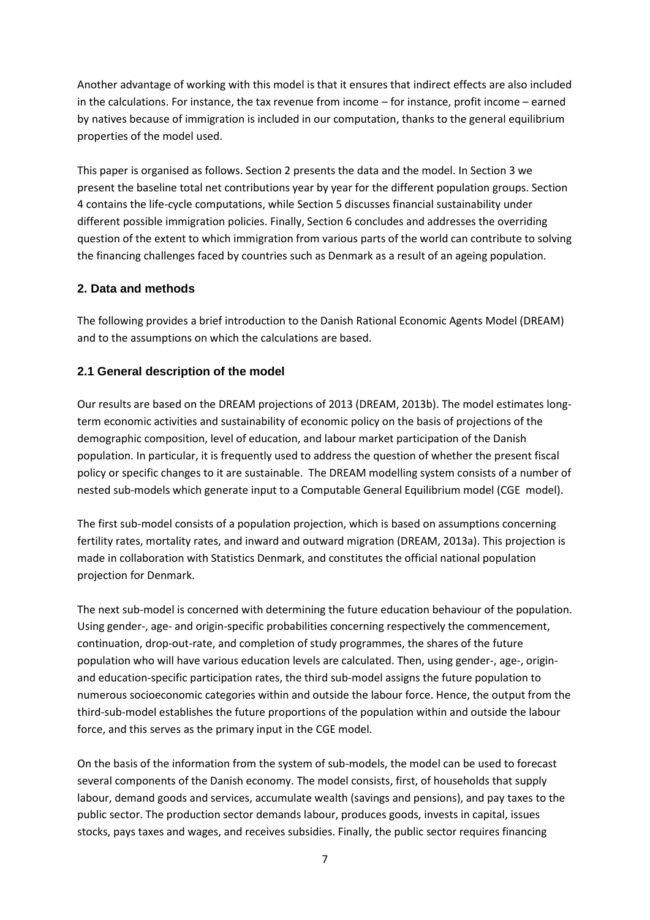Another advantage of working with this model is that it ensures that indirect effects are also included in the calculations. For instance, the tax revenue from income – for instance, profit income – earned by natives because of immigration is included in our computation, thanks to the general equilibrium properties of the model used.

This paper is organised as follows. Section 2 presents the data and the model. In Section 3 we present the baseline total net contributions year by year for the different population groups. Section 4 contains the life-cycle computations, while Section 5 discusses financial sustainability under different possible immigration policies. Finally, Section 6 concludes and addresses the overriding question of the extent to which immigration from various parts of the world can contribute to solving the financing challenges faced by countries such as Denmark as a result of an ageing population.

#### **2. Data and methods**

The following provides a brief introduction to the Danish Rational Economic Agents Model (DREAM) and to the assumptions on which the calculations are based.

#### **2.1 General description of the model**

Our results are based on the DREAM projections of 2013 (DREAM, 2013b). The model estimates longterm economic activities and sustainability of economic policy on the basis of projections of the demographic composition, level of education, and labour market participation of the Danish population. In particular, it is frequently used to address the question of whether the present fiscal policy or specific changes to it are sustainable. The DREAM modelling system consists of a number of nested sub-models which generate input to a Computable General Equilibrium model (CGE model).

The first sub-model consists of a population projection, which is based on assumptions concerning fertility rates, mortality rates, and inward and outward migration (DREAM, 2013a). This projection is made in collaboration with Statistics Denmark, and constitutes the official national population projection for Denmark.

The next sub-model is concerned with determining the future education behaviour of the population. Using gender-, age- and origin-specific probabilities concerning respectively the commencement, continuation, drop-out-rate, and completion of study programmes, the shares of the future population who will have various education levels are calculated. Then, using gender-, age-, originand education-specific participation rates, the third sub-model assigns the future population to numerous socioeconomic categories within and outside the labour force. Hence, the output from the third-sub-model establishes the future proportions of the population within and outside the labour force, and this serves as the primary input in the CGE model.

On the basis of the information from the system of sub-models, the model can be used to forecast several components of the Danish economy. The model consists, first, of households that supply labour, demand goods and services, accumulate wealth (savings and pensions), and pay taxes to the public sector. The production sector demands labour, produces goods, invests in capital, issues stocks, pays taxes and wages, and receives subsidies. Finally, the public sector requires financing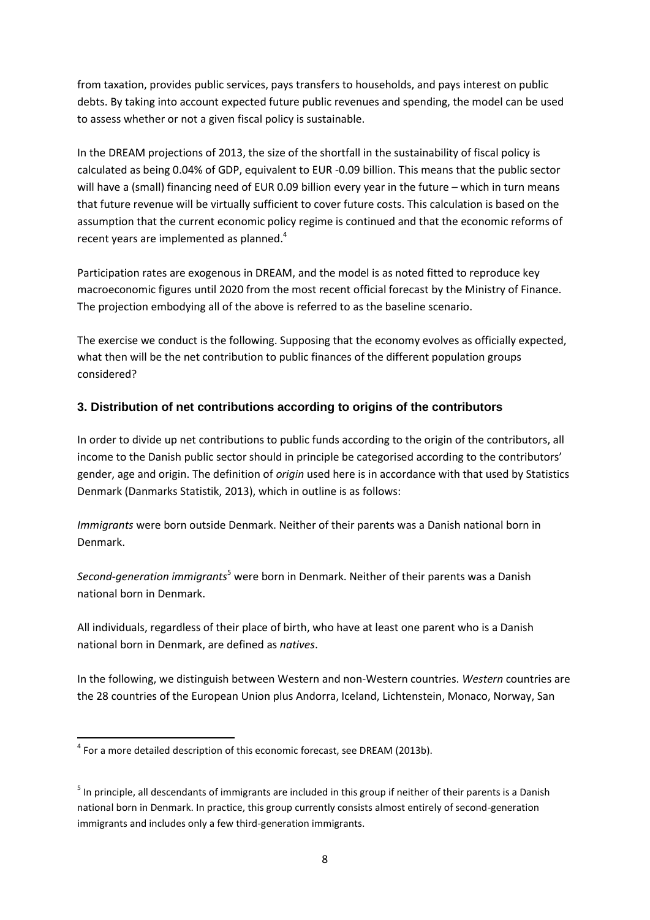from taxation, provides public services, pays transfers to households, and pays interest on public debts. By taking into account expected future public revenues and spending, the model can be used to assess whether or not a given fiscal policy is sustainable.

In the DREAM projections of 2013, the size of the shortfall in the sustainability of fiscal policy is calculated as being 0.04% of GDP, equivalent to EUR -0.09 billion. This means that the public sector will have a (small) financing need of EUR 0.09 billion every year in the future – which in turn means that future revenue will be virtually sufficient to cover future costs. This calculation is based on the assumption that the current economic policy regime is continued and that the economic reforms of recent years are implemented as planned.<sup>4</sup>

Participation rates are exogenous in DREAM, and the model is as noted fitted to reproduce key macroeconomic figures until 2020 from the most recent official forecast by the Ministry of Finance. The projection embodying all of the above is referred to as the baseline scenario.

The exercise we conduct is the following. Supposing that the economy evolves as officially expected, what then will be the net contribution to public finances of the different population groups considered?

#### **3. Distribution of net contributions according to origins of the contributors**

In order to divide up net contributions to public funds according to the origin of the contributors, all income to the Danish public sector should in principle be categorised according to the contributors' gender, age and origin. The definition of *origin* used here is in accordance with that used by Statistics Denmark (Danmarks Statistik, 2013), which in outline is as follows:

*Immigrants* were born outside Denmark. Neither of their parents was a Danish national born in Denmark.

*Second-generation immigrants*<sup>5</sup> were born in Denmark. Neither of their parents was a Danish national born in Denmark.

All individuals, regardless of their place of birth, who have at least one parent who is a Danish national born in Denmark, are defined as *natives*.

In the following, we distinguish between Western and non-Western countries. *Western* countries are the 28 countries of the European Union plus Andorra, Iceland, Lichtenstein, Monaco, Norway, San

<sup>1</sup>  $<sup>4</sup>$  For a more detailed description of this economic forecast, see DREAM (2013b).</sup>

<sup>&</sup>lt;sup>5</sup> In principle, all descendants of immigrants are included in this group if neither of their parents is a Danish national born in Denmark. In practice, this group currently consists almost entirely of second-generation immigrants and includes only a few third-generation immigrants.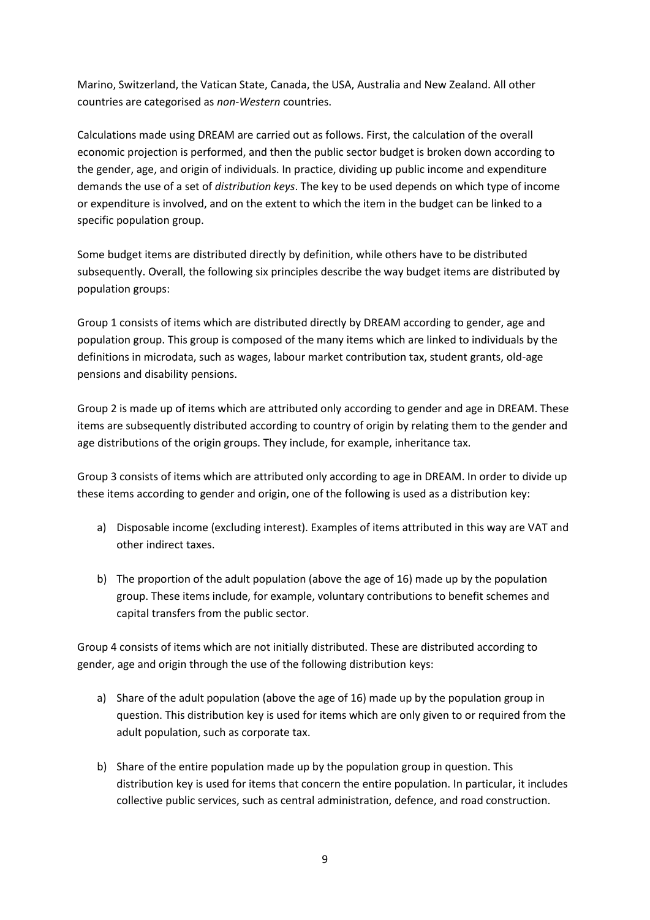Marino, Switzerland, the Vatican State, Canada, the USA, Australia and New Zealand. All other countries are categorised as *non-Western* countries.

Calculations made using DREAM are carried out as follows. First, the calculation of the overall economic projection is performed, and then the public sector budget is broken down according to the gender, age, and origin of individuals. In practice, dividing up public income and expenditure demands the use of a set of *distribution keys*. The key to be used depends on which type of income or expenditure is involved, and on the extent to which the item in the budget can be linked to a specific population group.

Some budget items are distributed directly by definition, while others have to be distributed subsequently. Overall, the following six principles describe the way budget items are distributed by population groups:

Group 1 consists of items which are distributed directly by DREAM according to gender, age and population group. This group is composed of the many items which are linked to individuals by the definitions in microdata, such as wages, labour market contribution tax, student grants, old-age pensions and disability pensions.

Group 2 is made up of items which are attributed only according to gender and age in DREAM. These items are subsequently distributed according to country of origin by relating them to the gender and age distributions of the origin groups. They include, for example, inheritance tax.

Group 3 consists of items which are attributed only according to age in DREAM. In order to divide up these items according to gender and origin, one of the following is used as a distribution key:

- a) Disposable income (excluding interest). Examples of items attributed in this way are VAT and other indirect taxes.
- b) The proportion of the adult population (above the age of 16) made up by the population group. These items include, for example, voluntary contributions to benefit schemes and capital transfers from the public sector.

Group 4 consists of items which are not initially distributed. These are distributed according to gender, age and origin through the use of the following distribution keys:

- a) Share of the adult population (above the age of 16) made up by the population group in question. This distribution key is used for items which are only given to or required from the adult population, such as corporate tax.
- b) Share of the entire population made up by the population group in question. This distribution key is used for items that concern the entire population. In particular, it includes collective public services, such as central administration, defence, and road construction.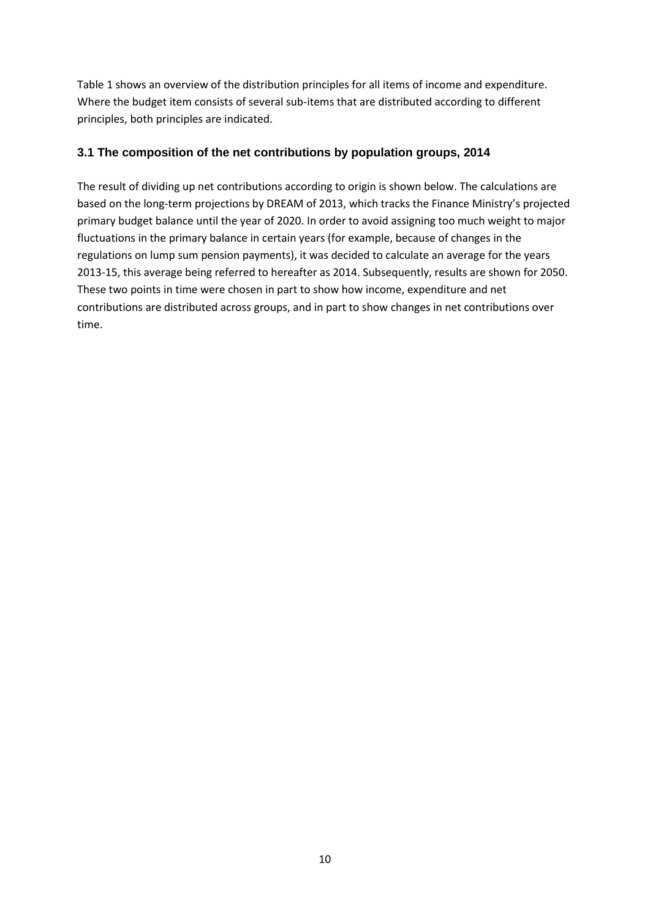Table 1 shows an overview of the distribution principles for all items of income and expenditure. Where the budget item consists of several sub-items that are distributed according to different principles, both principles are indicated.

#### **3.1 The composition of the net contributions by population groups, 2014**

The result of dividing up net contributions according to origin is shown below. The calculations are based on the long-term projections by DREAM of 2013, which tracks the Finance Ministry's projected primary budget balance until the year of 2020. In order to avoid assigning too much weight to major fluctuations in the primary balance in certain years (for example, because of changes in the regulations on lump sum pension payments), it was decided to calculate an average for the years 2013-15, this average being referred to hereafter as 2014. Subsequently, results are shown for 2050. These two points in time were chosen in part to show how income, expenditure and net contributions are distributed across groups, and in part to show changes in net contributions over time.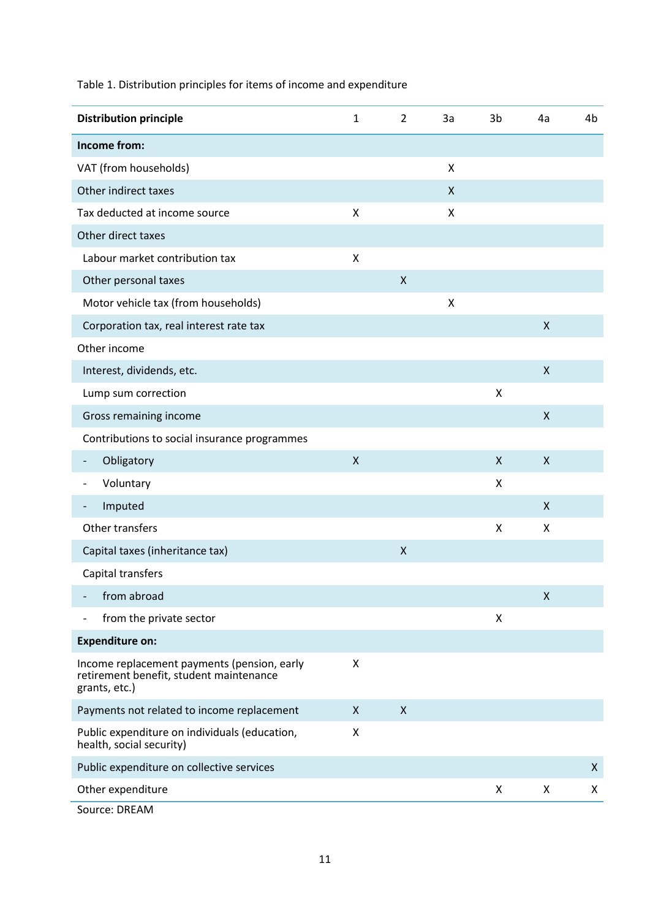Table 1. Distribution principles for items of income and expenditure

|                                                                                                         | <b>Distribution principle</b>                | $\mathbf 1$ | $\overline{2}$     | 3a | 3b | 4a                 | 4b |
|---------------------------------------------------------------------------------------------------------|----------------------------------------------|-------------|--------------------|----|----|--------------------|----|
|                                                                                                         | Income from:                                 |             |                    |    |    |                    |    |
| VAT (from households)                                                                                   |                                              |             |                    | X  |    |                    |    |
|                                                                                                         | Other indirect taxes                         |             |                    | X  |    |                    |    |
|                                                                                                         | Tax deducted at income source                | Χ           |                    | X  |    |                    |    |
|                                                                                                         | Other direct taxes                           |             |                    |    |    |                    |    |
|                                                                                                         | Labour market contribution tax               | X           |                    |    |    |                    |    |
|                                                                                                         | Other personal taxes                         |             | $\mathsf{X}$       |    |    |                    |    |
|                                                                                                         | Motor vehicle tax (from households)          |             |                    | X  |    |                    |    |
|                                                                                                         | Corporation tax, real interest rate tax      |             |                    |    |    | X                  |    |
|                                                                                                         | Other income                                 |             |                    |    |    |                    |    |
|                                                                                                         | Interest, dividends, etc.                    |             |                    |    |    | X                  |    |
|                                                                                                         | Lump sum correction                          |             |                    |    | X  |                    |    |
| Gross remaining income                                                                                  |                                              |             |                    |    |    | X                  |    |
|                                                                                                         | Contributions to social insurance programmes |             |                    |    |    |                    |    |
|                                                                                                         | Obligatory                                   | X           |                    |    | X  | $\pmb{\mathsf{X}}$ |    |
|                                                                                                         | Voluntary                                    |             |                    |    | X  |                    |    |
|                                                                                                         | Imputed                                      |             |                    |    |    | X                  |    |
|                                                                                                         | Other transfers                              |             |                    |    | X  | Χ                  |    |
|                                                                                                         | Capital taxes (inheritance tax)              |             | $\pmb{\mathsf{X}}$ |    |    |                    |    |
|                                                                                                         | Capital transfers                            |             |                    |    |    |                    |    |
|                                                                                                         | from abroad                                  |             |                    |    |    | $\pmb{\mathsf{X}}$ |    |
|                                                                                                         | from the private sector                      |             |                    |    | X  |                    |    |
|                                                                                                         | <b>Expenditure on:</b>                       |             |                    |    |    |                    |    |
| Income replacement payments (pension, early<br>retirement benefit, student maintenance<br>grants, etc.) |                                              | X           |                    |    |    |                    |    |
| Payments not related to income replacement                                                              |                                              | X           | $\pmb{\mathsf{X}}$ |    |    |                    |    |
| Public expenditure on individuals (education,<br>health, social security)                               |                                              | X           |                    |    |    |                    |    |
|                                                                                                         | Public expenditure on collective services    |             |                    |    |    |                    | X  |
|                                                                                                         | Other expenditure                            |             |                    |    | X  | Χ                  | X  |
|                                                                                                         | Source: DREAM                                |             |                    |    |    |                    |    |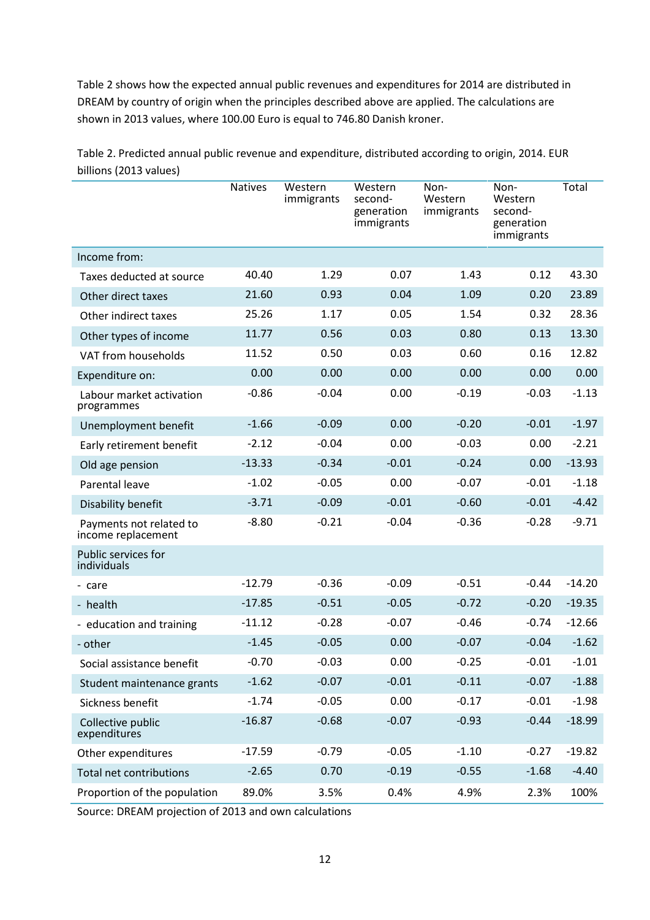Table 2 shows how the expected annual public revenues and expenditures for 2014 are distributed in DREAM by country of origin when the principles described above are applied. The calculations are shown in 2013 values, where 100.00 Euro is equal to 746.80 Danish kroner.

Natives Western immigrants **Western** secondgeneration immigrants Non-Western immigrants Non-Western secondgeneration immigrants **Total** Income from: Taxes deducted at source 40.40 1.29 0.07 1.43 0.12 43.30 Other direct taxes 21.60 0.93 0.04 1.09 0.20 23.89 Other indirect taxes 25.26 1.17 0.05 1.54 0.32 28.36 Other types of income 11.77 0.56 0.03 0.80 0.13 13.30 VAT from households 11.52 0.50 0.03 0.60 0.16 12.82 Expenditure on: 0.00 0.00 0.00 0.00 0.00 0.00 0.00 Labour market activation programmes -0.86 -0.04 0.00 -0.19 -0.03 -1.13 Unemployment benefit  $-1.66$   $-0.09$  0.00  $-0.20$   $-0.01$   $-1.97$ Early retirement benefit  $-2.12$   $-0.04$  0.00  $-0.03$  0.00  $-2.21$ Old age pension -13.33 -0.34 -0.01 -0.24 0.00 -13.93 Parental leave **1.02** -1.02 -0.05 0.00 -0.07 -0.01 -1.18 Disability benefit -3.71 -0.09 -0.01 -0.60 -0.01 -4.42 Payments not related to income replacement -8.80 -0.21 -0.04 -0.36 -0.28 -9.71 Public services for individuals - care -12.79 -0.36 -0.09 -0.51 -0.44 -14.20 - health -17.85 -0.51 -0.05 -0.72 -0.20 -19.35 - education and training  $-11.12$   $-0.28$   $-0.07$   $-0.46$   $-0.74$   $-12.66$ - other -1.45 -1.45 -0.05 0.00 -0.07 -0.04 -1.62 Social assistance benefit  $-0.70$   $-0.03$  0.00  $-0.25$   $-0.01$   $-1.01$ Student maintenance grants  $-1.62$   $-0.07$   $-0.01$   $-0.11$   $-0.07$   $-1.88$ Sickness benefit  $-1.74$   $-0.05$  0.00  $-0.17$   $-0.01$   $-1.98$ Collective public expenditures -16.87 -0.68 -0.07 -0.93 -0.44 -18.99 Other expenditures -17.59 -0.79 -0.05 -1.10 -0.27 -19.82 Total net contributions -2.65 0.70 -0.19 -0.55 -1.68 -4.40 Proportion of the population 89.0% 3.5% 0.4% 4.9% 2.3% 100%

Table 2. Predicted annual public revenue and expenditure, distributed according to origin, 2014. EUR billions (2013 values)

Source: DREAM projection of 2013 and own calculations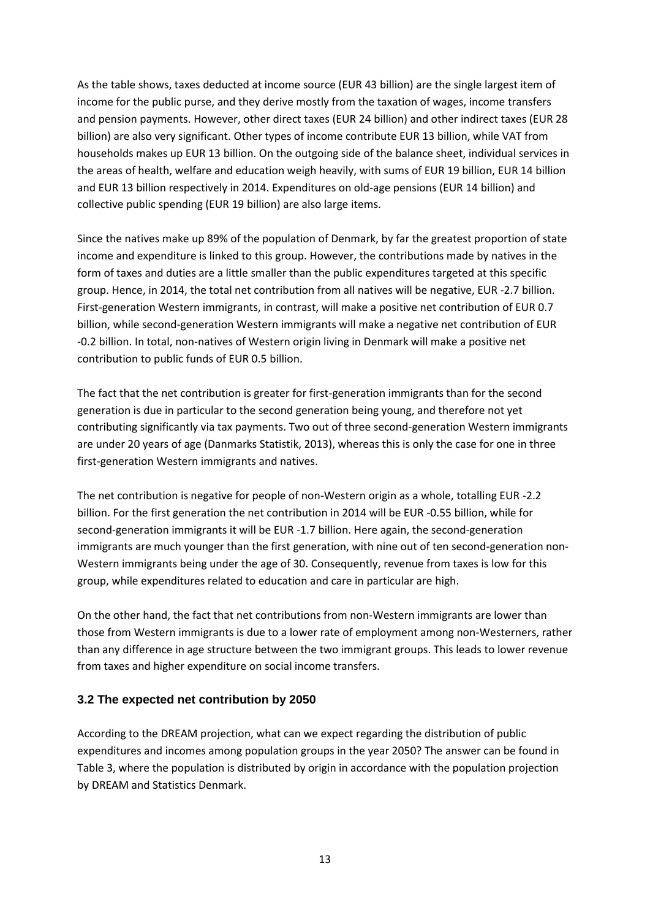As the table shows, taxes deducted at income source (EUR 43 billion) are the single largest item of income for the public purse, and they derive mostly from the taxation of wages, income transfers and pension payments. However, other direct taxes (EUR 24 billion) and other indirect taxes (EUR 28 billion) are also very significant. Other types of income contribute EUR 13 billion, while VAT from households makes up EUR 13 billion. On the outgoing side of the balance sheet, individual services in the areas of health, welfare and education weigh heavily, with sums of EUR 19 billion, EUR 14 billion and EUR 13 billion respectively in 2014. Expenditures on old-age pensions (EUR 14 billion) and collective public spending (EUR 19 billion) are also large items.

Since the natives make up 89% of the population of Denmark, by far the greatest proportion of state income and expenditure is linked to this group. However, the contributions made by natives in the form of taxes and duties are a little smaller than the public expenditures targeted at this specific group. Hence, in 2014, the total net contribution from all natives will be negative, EUR -2.7 billion. First-generation Western immigrants, in contrast, will make a positive net contribution of EUR 0.7 billion, while second-generation Western immigrants will make a negative net contribution of EUR -0.2 billion. In total, non-natives of Western origin living in Denmark will make a positive net contribution to public funds of EUR 0.5 billion.

The fact that the net contribution is greater for first-generation immigrants than for the second generation is due in particular to the second generation being young, and therefore not yet contributing significantly via tax payments. Two out of three second-generation Western immigrants are under 20 years of age (Danmarks Statistik, 2013), whereas this is only the case for one in three first-generation Western immigrants and natives.

The net contribution is negative for people of non-Western origin as a whole, totalling EUR -2.2 billion. For the first generation the net contribution in 2014 will be EUR -0.55 billion, while for second-generation immigrants it will be EUR -1.7 billion. Here again, the second-generation immigrants are much younger than the first generation, with nine out of ten second-generation non-Western immigrants being under the age of 30. Consequently, revenue from taxes is low for this group, while expenditures related to education and care in particular are high.

On the other hand, the fact that net contributions from non-Western immigrants are lower than those from Western immigrants is due to a lower rate of employment among non-Westerners, rather than any difference in age structure between the two immigrant groups. This leads to lower revenue from taxes and higher expenditure on social income transfers.

#### **3.2 The expected net contribution by 2050**

According to the DREAM projection, what can we expect regarding the distribution of public expenditures and incomes among population groups in the year 2050? The answer can be found in Table 3, where the population is distributed by origin in accordance with the population projection by DREAM and Statistics Denmark.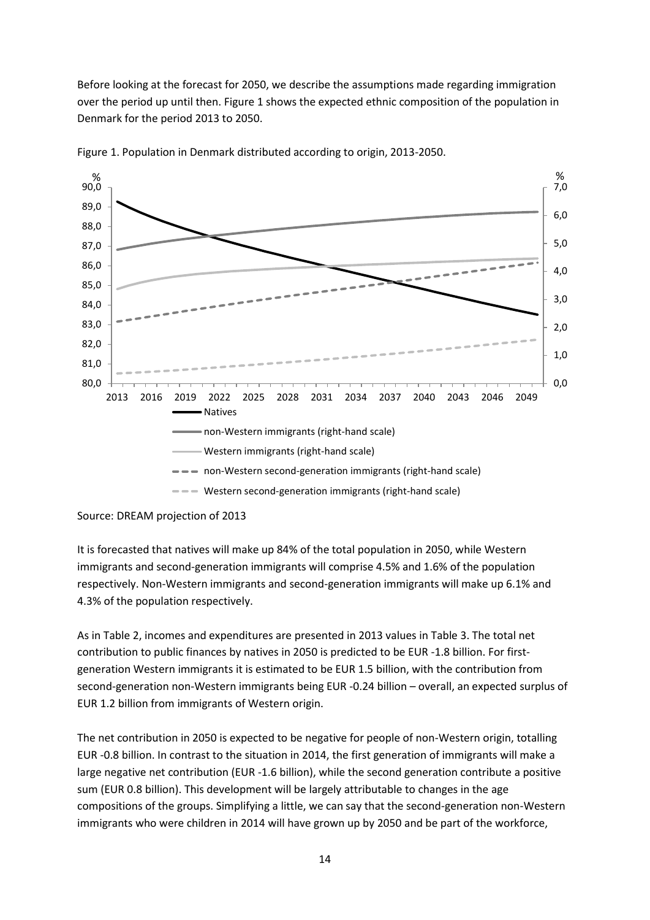Before looking at the forecast for 2050, we describe the assumptions made regarding immigration over the period up until then. Figure 1 shows the expected ethnic composition of the population in Denmark for the period 2013 to 2050.



Figure 1. Population in Denmark distributed according to origin, 2013-2050.

Source: DREAM projection of 2013

It is forecasted that natives will make up 84% of the total population in 2050, while Western immigrants and second-generation immigrants will comprise 4.5% and 1.6% of the population respectively. Non-Western immigrants and second-generation immigrants will make up 6.1% and 4.3% of the population respectively.

As in Table 2, incomes and expenditures are presented in 2013 values in Table 3. The total net contribution to public finances by natives in 2050 is predicted to be EUR -1.8 billion. For firstgeneration Western immigrants it is estimated to be EUR 1.5 billion, with the contribution from second-generation non-Western immigrants being EUR -0.24 billion – overall, an expected surplus of EUR 1.2 billion from immigrants of Western origin.

The net contribution in 2050 is expected to be negative for people of non-Western origin, totalling EUR -0.8 billion. In contrast to the situation in 2014, the first generation of immigrants will make a large negative net contribution (EUR -1.6 billion), while the second generation contribute a positive sum (EUR 0.8 billion). This development will be largely attributable to changes in the age compositions of the groups. Simplifying a little, we can say that the second-generation non-Western immigrants who were children in 2014 will have grown up by 2050 and be part of the workforce,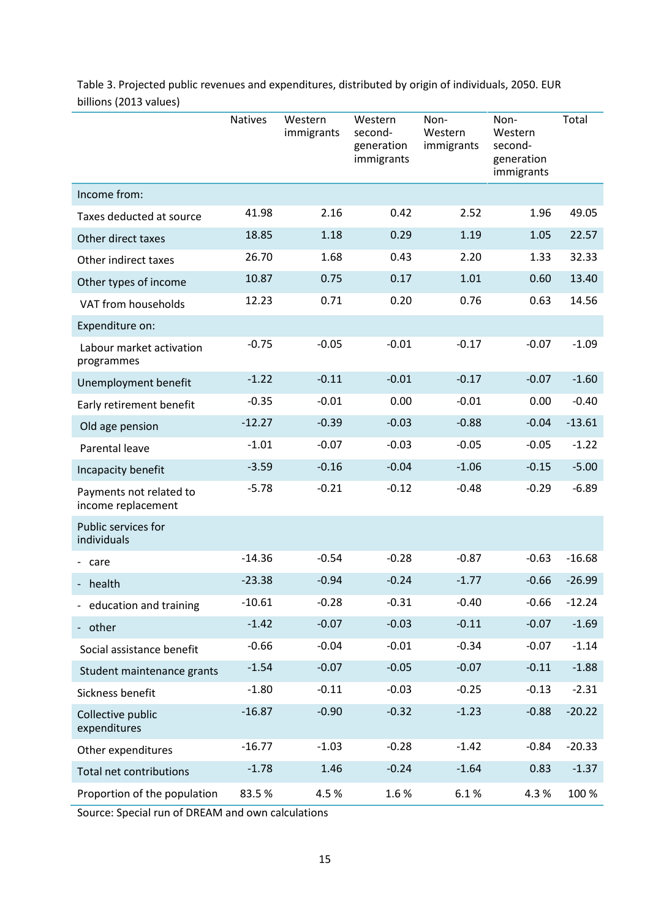|                                               | <b>Natives</b> | Western<br>immigrants | Western<br>second-<br>generation<br>immigrants | Non-<br>Western<br>immigrants | Non-<br>Western<br>second-<br>generation<br>immigrants | Total    |
|-----------------------------------------------|----------------|-----------------------|------------------------------------------------|-------------------------------|--------------------------------------------------------|----------|
| Income from:                                  |                |                       |                                                |                               |                                                        |          |
| Taxes deducted at source                      | 41.98          | 2.16                  | 0.42                                           | 2.52                          | 1.96                                                   | 49.05    |
| Other direct taxes                            | 18.85          | 1.18                  | 0.29                                           | 1.19                          | 1.05                                                   | 22.57    |
| Other indirect taxes                          | 26.70          | 1.68                  | 0.43                                           | 2.20                          | 1.33                                                   | 32.33    |
| Other types of income                         | 10.87          | 0.75                  | 0.17                                           | 1.01                          | 0.60                                                   | 13.40    |
| VAT from households                           | 12.23          | 0.71                  | 0.20                                           | 0.76                          | 0.63                                                   | 14.56    |
| Expenditure on:                               |                |                       |                                                |                               |                                                        |          |
| Labour market activation<br>programmes        | $-0.75$        | $-0.05$               | $-0.01$                                        | $-0.17$                       | $-0.07$                                                | $-1.09$  |
| Unemployment benefit                          | $-1.22$        | $-0.11$               | $-0.01$                                        | $-0.17$                       | $-0.07$                                                | $-1.60$  |
| Early retirement benefit                      | $-0.35$        | $-0.01$               | 0.00                                           | $-0.01$                       | 0.00                                                   | $-0.40$  |
| Old age pension                               | $-12.27$       | $-0.39$               | $-0.03$                                        | $-0.88$                       | $-0.04$                                                | $-13.61$ |
| Parental leave                                | $-1.01$        | $-0.07$               | $-0.03$                                        | $-0.05$                       | $-0.05$                                                | $-1.22$  |
| Incapacity benefit                            | $-3.59$        | $-0.16$               | $-0.04$                                        | $-1.06$                       | $-0.15$                                                | $-5.00$  |
| Payments not related to<br>income replacement | $-5.78$        | $-0.21$               | $-0.12$                                        | $-0.48$                       | $-0.29$                                                | $-6.89$  |
| Public services for<br>individuals            |                |                       |                                                |                               |                                                        |          |
| - care                                        | $-14.36$       | $-0.54$               | $-0.28$                                        | $-0.87$                       | $-0.63$                                                | $-16.68$ |
| - health                                      | $-23.38$       | $-0.94$               | $-0.24$                                        | $-1.77$                       | $-0.66$                                                | $-26.99$ |
| - education and training                      | $-10.61$       | $-0.28$               | $-0.31$                                        | $-0.40$                       | $-0.66$                                                | $-12.24$ |
| - other                                       | $-1.42$        | $-0.07$               | $-0.03$                                        | $-0.11$                       | $-0.07$                                                | $-1.69$  |
| Social assistance benefit                     | $-0.66$        | $-0.04$               | $-0.01$                                        | $-0.34$                       | $-0.07$                                                | $-1.14$  |
| Student maintenance grants                    | $-1.54$        | $-0.07$               | $-0.05$                                        | $-0.07$                       | $-0.11$                                                | $-1.88$  |
| Sickness benefit                              | $-1.80$        | $-0.11$               | $-0.03$                                        | $-0.25$                       | $-0.13$                                                | $-2.31$  |
| Collective public<br>expenditures             | $-16.87$       | $-0.90$               | $-0.32$                                        | $-1.23$                       | $-0.88$                                                | $-20.22$ |
| Other expenditures                            | $-16.77$       | $-1.03$               | $-0.28$                                        | $-1.42$                       | $-0.84$                                                | $-20.33$ |
| Total net contributions                       | $-1.78$        | 1.46                  | $-0.24$                                        | $-1.64$                       | 0.83                                                   | $-1.37$  |
| Proportion of the population                  | 83.5%          | 4.5%                  | 1.6%                                           | 6.1%                          | 4.3%                                                   | 100 %    |

Table 3. Projected public revenues and expenditures, distributed by origin of individuals, 2050. EUR billions (2013 values)

Source: Special run of DREAM and own calculations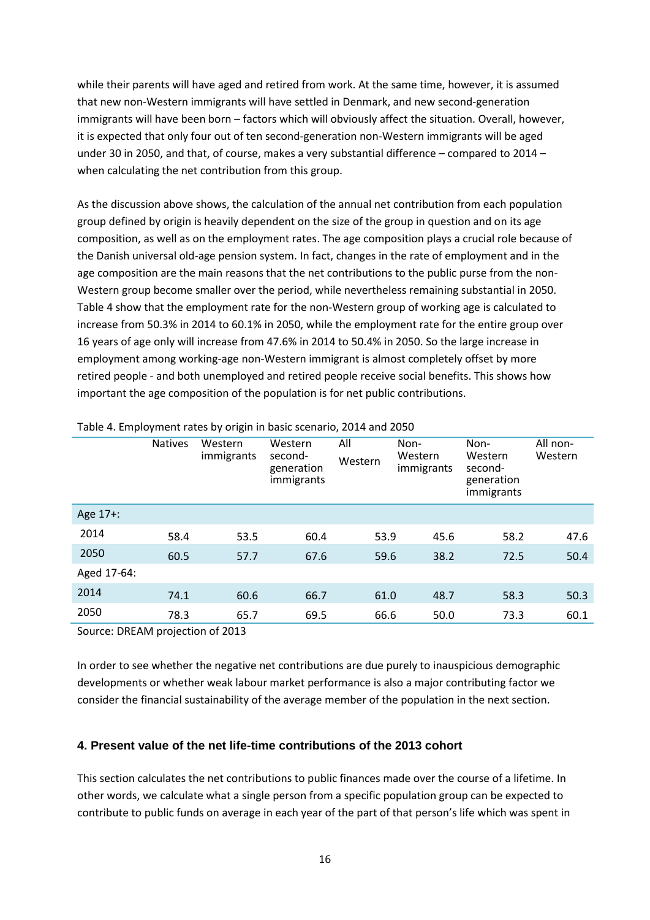while their parents will have aged and retired from work. At the same time, however, it is assumed that new non-Western immigrants will have settled in Denmark, and new second-generation immigrants will have been born – factors which will obviously affect the situation. Overall, however, it is expected that only four out of ten second-generation non-Western immigrants will be aged under 30 in 2050, and that, of course, makes a very substantial difference – compared to 2014 – when calculating the net contribution from this group.

As the discussion above shows, the calculation of the annual net contribution from each population group defined by origin is heavily dependent on the size of the group in question and on its age composition, as well as on the employment rates. The age composition plays a crucial role because of the Danish universal old-age pension system. In fact, changes in the rate of employment and in the age composition are the main reasons that the net contributions to the public purse from the non-Western group become smaller over the period, while nevertheless remaining substantial in 2050. Table 4 show that the employment rate for the non-Western group of working age is calculated to increase from 50.3% in 2014 to 60.1% in 2050, while the employment rate for the entire group over 16 years of age only will increase from 47.6% in 2014 to 50.4% in 2050. So the large increase in employment among working-age non-Western immigrant is almost completely offset by more retired people - and both unemployed and retired people receive social benefits. This shows how important the age composition of the population is for net public contributions.

|             | <b>Natives</b> | Western<br>immigrants | Western<br>second-<br>generation<br>immigrants | All<br>Western | Non-<br>Western<br>immigrants | Non-<br>Western<br>second-<br>generation<br>immigrants | All non-<br>Western |
|-------------|----------------|-----------------------|------------------------------------------------|----------------|-------------------------------|--------------------------------------------------------|---------------------|
| Age 17+:    |                |                       |                                                |                |                               |                                                        |                     |
| 2014        | 58.4           | 53.5                  | 60.4                                           | 53.9           | 45.6                          | 58.2                                                   | 47.6                |
| 2050        | 60.5           | 57.7                  | 67.6                                           | 59.6           | 38.2                          | 72.5                                                   | 50.4                |
| Aged 17-64: |                |                       |                                                |                |                               |                                                        |                     |
| 2014        | 74.1           | 60.6                  | 66.7                                           | 61.0           | 48.7                          | 58.3                                                   | 50.3                |
| 2050        | 78.3           | 65.7                  | 69.5                                           | 66.6           | 50.0                          | 73.3                                                   | 60.1                |

Table 4. Employment rates by origin in basic scenario, 2014 and 2050

Source: DREAM projection of 2013

In order to see whether the negative net contributions are due purely to inauspicious demographic developments or whether weak labour market performance is also a major contributing factor we consider the financial sustainability of the average member of the population in the next section.

#### **4. Present value of the net life-time contributions of the 2013 cohort**

This section calculates the net contributions to public finances made over the course of a lifetime. In other words, we calculate what a single person from a specific population group can be expected to contribute to public funds on average in each year of the part of that person's life which was spent in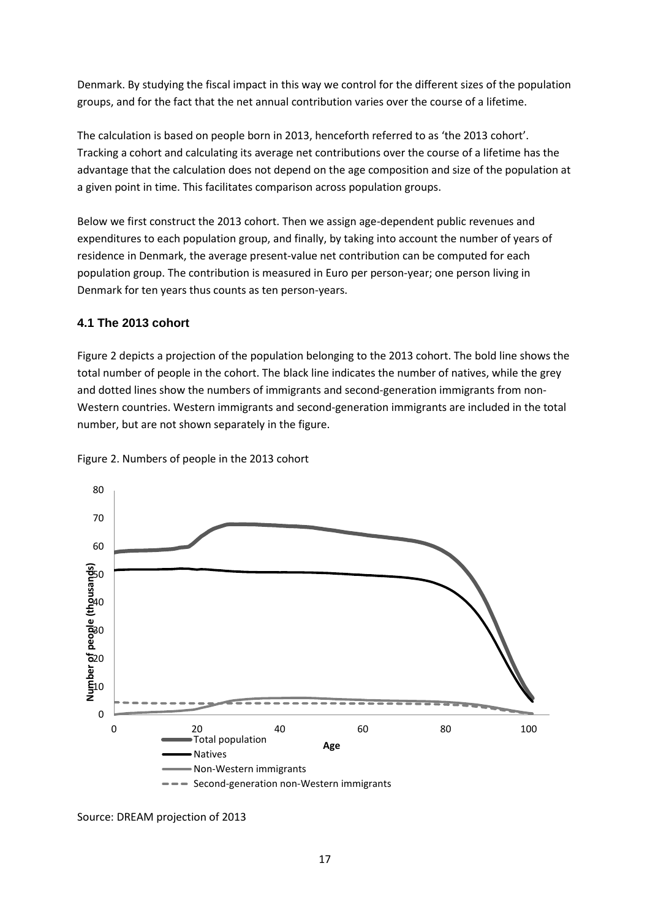Denmark. By studying the fiscal impact in this way we control for the different sizes of the population groups, and for the fact that the net annual contribution varies over the course of a lifetime.

The calculation is based on people born in 2013, henceforth referred to as 'the 2013 cohort'. Tracking a cohort and calculating its average net contributions over the course of a lifetime has the advantage that the calculation does not depend on the age composition and size of the population at a given point in time. This facilitates comparison across population groups.

Below we first construct the 2013 cohort. Then we assign age-dependent public revenues and expenditures to each population group, and finally, by taking into account the number of years of residence in Denmark, the average present-value net contribution can be computed for each population group. The contribution is measured in Euro per person-year; one person living in Denmark for ten years thus counts as ten person-years.

#### **4.1 The 2013 cohort**

Figure 2 depicts a projection of the population belonging to the 2013 cohort. The bold line shows the total number of people in the cohort. The black line indicates the number of natives, while the grey and dotted lines show the numbers of immigrants and second-generation immigrants from non-Western countries. Western immigrants and second-generation immigrants are included in the total number, but are not shown separately in the figure.



Figure 2. Numbers of people in the 2013 cohort

Source: DREAM projection of 2013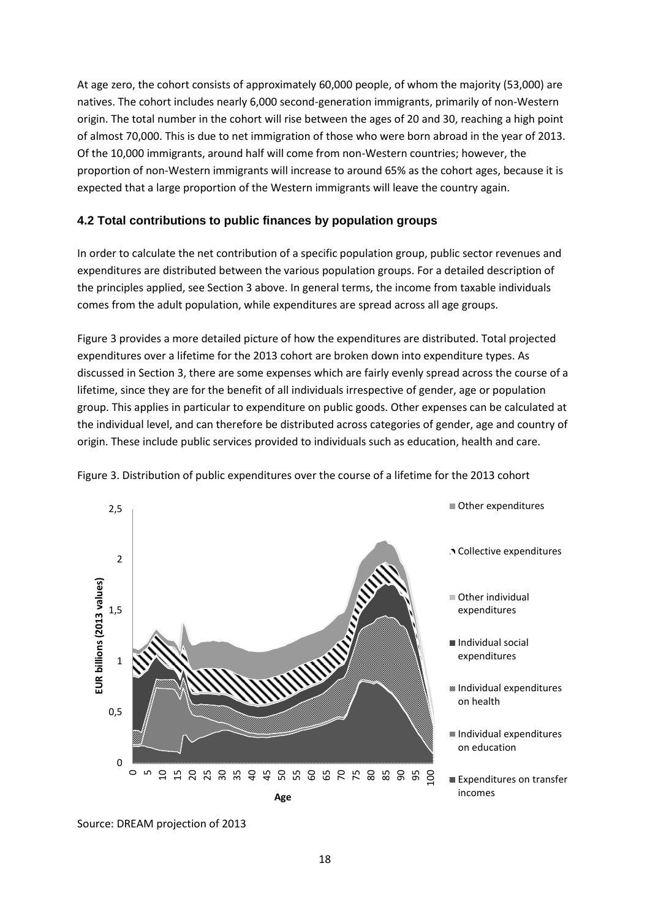At age zero, the cohort consists of approximately 60,000 people, of whom the majority (53,000) are natives. The cohort includes nearly 6,000 second-generation immigrants, primarily of non-Western origin. The total number in the cohort will rise between the ages of 20 and 30, reaching a high point of almost 70,000. This is due to net immigration of those who were born abroad in the year of 2013. Of the 10,000 immigrants, around half will come from non-Western countries; however, the proportion of non-Western immigrants will increase to around 65% as the cohort ages, because it is expected that a large proportion of the Western immigrants will leave the country again.

#### **4.2 Total contributions to public finances by population groups**

In order to calculate the net contribution of a specific population group, public sector revenues and expenditures are distributed between the various population groups. For a detailed description of the principles applied, see Section 3 above. In general terms, the income from taxable individuals comes from the adult population, while expenditures are spread across all age groups.

Figure 3 provides a more detailed picture of how the expenditures are distributed. Total projected expenditures over a lifetime for the 2013 cohort are broken down into expenditure types. As discussed in Section 3, there are some expenses which are fairly evenly spread across the course of a lifetime, since they are for the benefit of all individuals irrespective of gender, age or population group. This applies in particular to expenditure on public goods. Other expenses can be calculated at the individual level, and can therefore be distributed across categories of gender, age and country of origin. These include public services provided to individuals such as education, health and care.



Figure 3. Distribution of public expenditures over the course of a lifetime for the 2013 cohort

Source: DREAM projection of 2013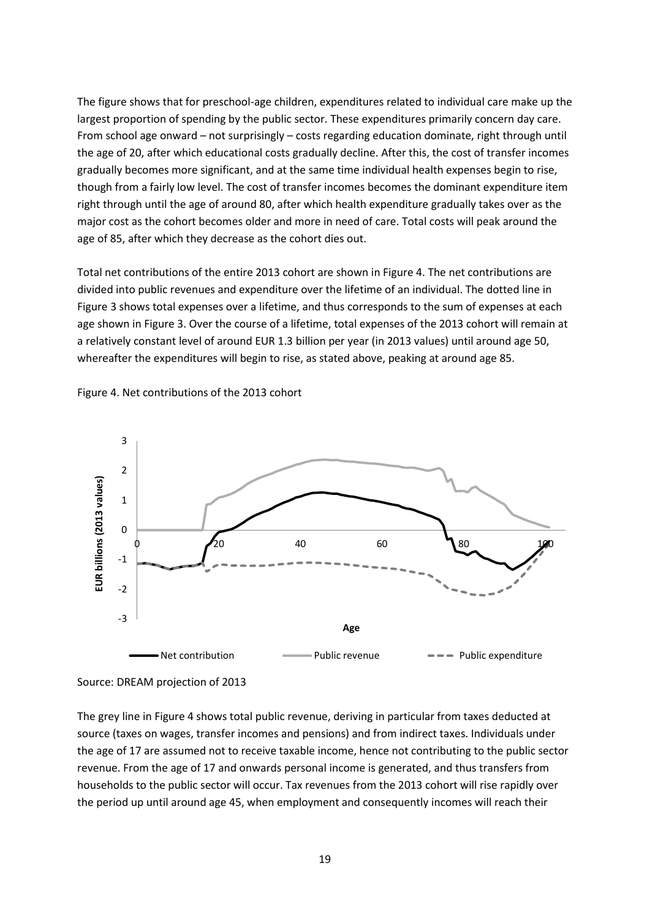The figure shows that for preschool-age children, expenditures related to individual care make up the largest proportion of spending by the public sector. These expenditures primarily concern day care. From school age onward – not surprisingly – costs regarding education dominate, right through until the age of 20, after which educational costs gradually decline. After this, the cost of transfer incomes gradually becomes more significant, and at the same time individual health expenses begin to rise, though from a fairly low level. The cost of transfer incomes becomes the dominant expenditure item right through until the age of around 80, after which health expenditure gradually takes over as the major cost as the cohort becomes older and more in need of care. Total costs will peak around the age of 85, after which they decrease as the cohort dies out.

Total net contributions of the entire 2013 cohort are shown in Figure 4. The net contributions are divided into public revenues and expenditure over the lifetime of an individual. The dotted line in Figure 3 shows total expenses over a lifetime, and thus corresponds to the sum of expenses at each age shown in Figure 3. Over the course of a lifetime, total expenses of the 2013 cohort will remain at a relatively constant level of around EUR 1.3 billion per year (in 2013 values) until around age 50, whereafter the expenditures will begin to rise, as stated above, peaking at around age 85.







-3

-2

-1

The grey line in Figure 4 shows total public revenue, deriving in particular from taxes deducted at source (taxes on wages, transfer incomes and pensions) and from indirect taxes. Individuals under the age of 17 are assumed not to receive taxable income, hence not contributing to the public sector revenue. From the age of 17 and onwards personal income is generated, and thus transfers from households to the public sector will occur. Tax revenues from the 2013 cohort will rise rapidly over the period up until around age 45, when employment and consequently incomes will reach their

**Age**

• Net contribution **Access 2** Public revenue **Public expenditure**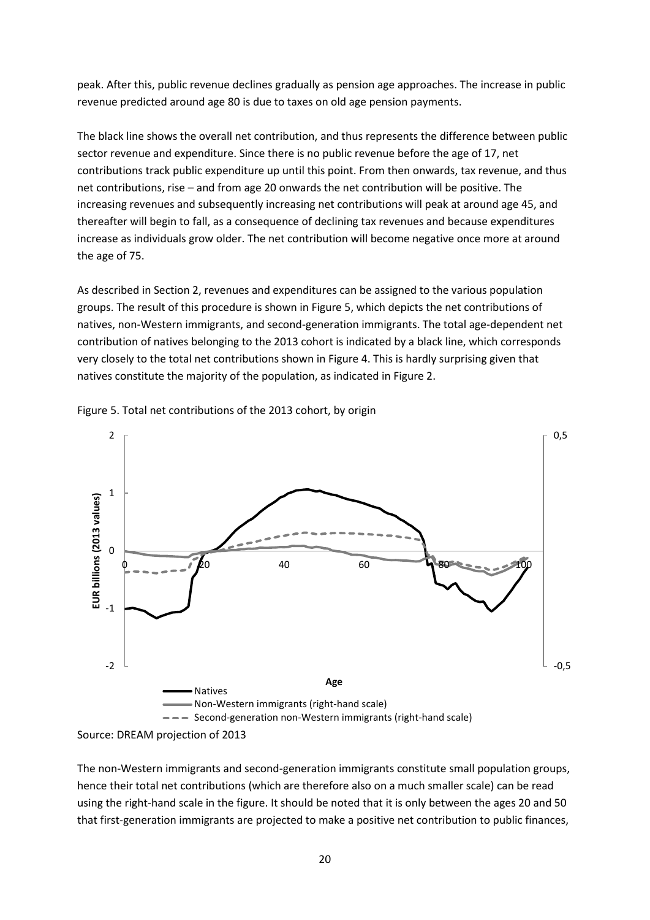peak. After this, public revenue declines gradually as pension age approaches. The increase in public revenue predicted around age 80 is due to taxes on old age pension payments.

The black line shows the overall net contribution, and thus represents the difference between public sector revenue and expenditure. Since there is no public revenue before the age of 17, net contributions track public expenditure up until this point. From then onwards, tax revenue, and thus net contributions, rise – and from age 20 onwards the net contribution will be positive. The increasing revenues and subsequently increasing net contributions will peak at around age 45, and thereafter will begin to fall, as a consequence of declining tax revenues and because expenditures increase as individuals grow older. The net contribution will become negative once more at around the age of 75.

As described in Section 2, revenues and expenditures can be assigned to the various population groups. The result of this procedure is shown in Figure 5, which depicts the net contributions of natives, non-Western immigrants, and second-generation immigrants. The total age-dependent net contribution of natives belonging to the 2013 cohort is indicated by a black line, which corresponds very closely to the total net contributions shown in Figure 4. This is hardly surprising given that natives constitute the majority of the population, as indicated in Figure 2.



Figure 5. Total net contributions of the 2013 cohort, by origin

The non-Western immigrants and second-generation immigrants constitute small population groups, hence their total net contributions (which are therefore also on a much smaller scale) can be read using the right-hand scale in the figure. It should be noted that it is only between the ages 20 and 50 that first-generation immigrants are projected to make a positive net contribution to public finances,

Source: DREAM projection of 2013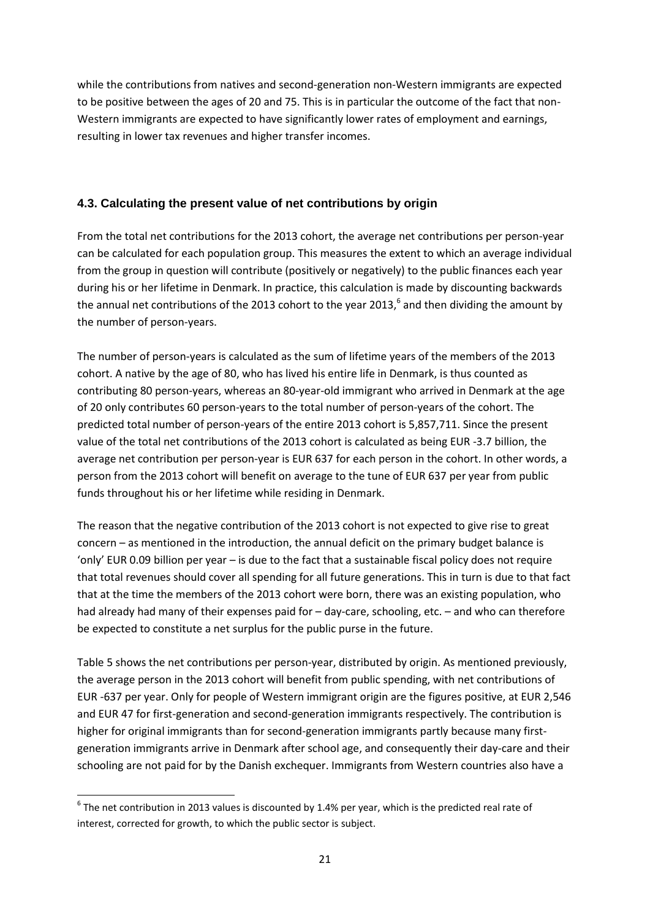while the contributions from natives and second-generation non-Western immigrants are expected to be positive between the ages of 20 and 75. This is in particular the outcome of the fact that non-Western immigrants are expected to have significantly lower rates of employment and earnings, resulting in lower tax revenues and higher transfer incomes.

#### **4.3. Calculating the present value of net contributions by origin**

From the total net contributions for the 2013 cohort, the average net contributions per person-year can be calculated for each population group. This measures the extent to which an average individual from the group in question will contribute (positively or negatively) to the public finances each year during his or her lifetime in Denmark. In practice, this calculation is made by discounting backwards the annual net contributions of the 2013 cohort to the year 2013,<sup>6</sup> and then dividing the amount by the number of person-years.

The number of person-years is calculated as the sum of lifetime years of the members of the 2013 cohort. A native by the age of 80, who has lived his entire life in Denmark, is thus counted as contributing 80 person-years, whereas an 80-year-old immigrant who arrived in Denmark at the age of 20 only contributes 60 person-years to the total number of person-years of the cohort. The predicted total number of person-years of the entire 2013 cohort is 5,857,711. Since the present value of the total net contributions of the 2013 cohort is calculated as being EUR -3.7 billion, the average net contribution per person-year is EUR 637 for each person in the cohort. In other words, a person from the 2013 cohort will benefit on average to the tune of EUR 637 per year from public funds throughout his or her lifetime while residing in Denmark.

The reason that the negative contribution of the 2013 cohort is not expected to give rise to great concern – as mentioned in the introduction, the annual deficit on the primary budget balance is 'only' EUR 0.09 billion per year – is due to the fact that a sustainable fiscal policy does not require that total revenues should cover all spending for all future generations. This in turn is due to that fact that at the time the members of the 2013 cohort were born, there was an existing population, who had already had many of their expenses paid for – day-care, schooling, etc. – and who can therefore be expected to constitute a net surplus for the public purse in the future.

Table 5 shows the net contributions per person-year, distributed by origin. As mentioned previously, the average person in the 2013 cohort will benefit from public spending, with net contributions of EUR -637 per year. Only for people of Western immigrant origin are the figures positive, at EUR 2,546 and EUR 47 for first-generation and second-generation immigrants respectively. The contribution is higher for original immigrants than for second-generation immigrants partly because many firstgeneration immigrants arrive in Denmark after school age, and consequently their day-care and their schooling are not paid for by the Danish exchequer. Immigrants from Western countries also have a

**.** 

 $^6$  The net contribution in 2013 values is discounted by 1.4% per year, which is the predicted real rate of interest, corrected for growth, to which the public sector is subject.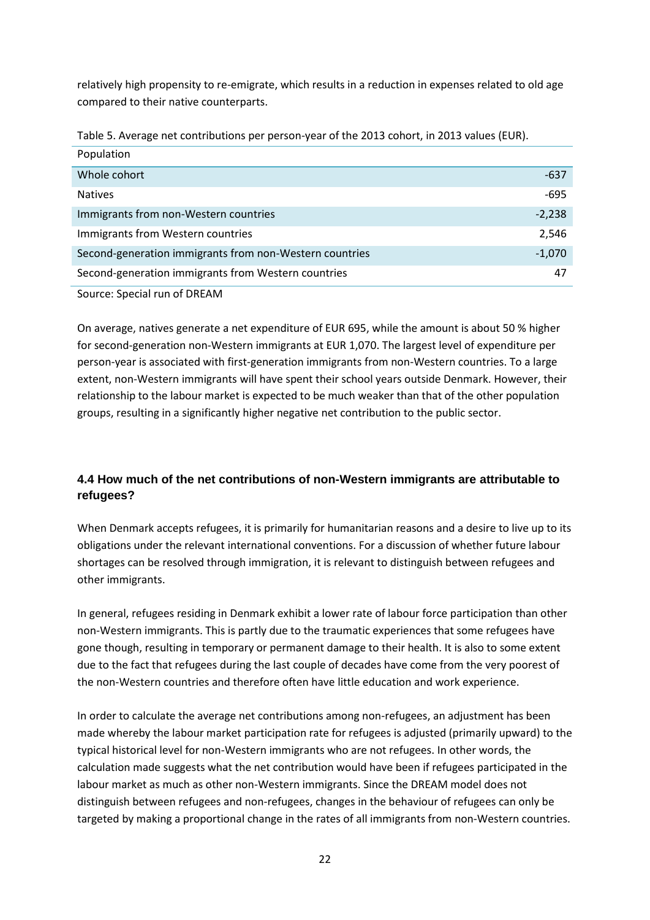relatively high propensity to re-emigrate, which results in a reduction in expenses related to old age compared to their native counterparts.

Table 5. Average net contributions per person-year of the 2013 cohort, in 2013 values (EUR).

| Population                                              |          |
|---------------------------------------------------------|----------|
| Whole cohort                                            | $-637$   |
| <b>Natives</b>                                          | $-695$   |
| Immigrants from non-Western countries                   | $-2,238$ |
| Immigrants from Western countries                       | 2,546    |
| Second-generation immigrants from non-Western countries | $-1,070$ |
| Second-generation immigrants from Western countries     | 47       |
|                                                         |          |

Source: Special run of DREAM

On average, natives generate a net expenditure of EUR 695, while the amount is about 50 % higher for second-generation non-Western immigrants at EUR 1,070. The largest level of expenditure per person-year is associated with first-generation immigrants from non-Western countries. To a large extent, non-Western immigrants will have spent their school years outside Denmark. However, their relationship to the labour market is expected to be much weaker than that of the other population groups, resulting in a significantly higher negative net contribution to the public sector.

#### **4.4 How much of the net contributions of non-Western immigrants are attributable to refugees?**

When Denmark accepts refugees, it is primarily for humanitarian reasons and a desire to live up to its obligations under the relevant international conventions. For a discussion of whether future labour shortages can be resolved through immigration, it is relevant to distinguish between refugees and other immigrants.

In general, refugees residing in Denmark exhibit a lower rate of labour force participation than other non-Western immigrants. This is partly due to the traumatic experiences that some refugees have gone though, resulting in temporary or permanent damage to their health. It is also to some extent due to the fact that refugees during the last couple of decades have come from the very poorest of the non-Western countries and therefore often have little education and work experience.

In order to calculate the average net contributions among non-refugees, an adjustment has been made whereby the labour market participation rate for refugees is adjusted (primarily upward) to the typical historical level for non-Western immigrants who are not refugees. In other words, the calculation made suggests what the net contribution would have been if refugees participated in the labour market as much as other non-Western immigrants. Since the DREAM model does not distinguish between refugees and non-refugees, changes in the behaviour of refugees can only be targeted by making a proportional change in the rates of all immigrants from non-Western countries.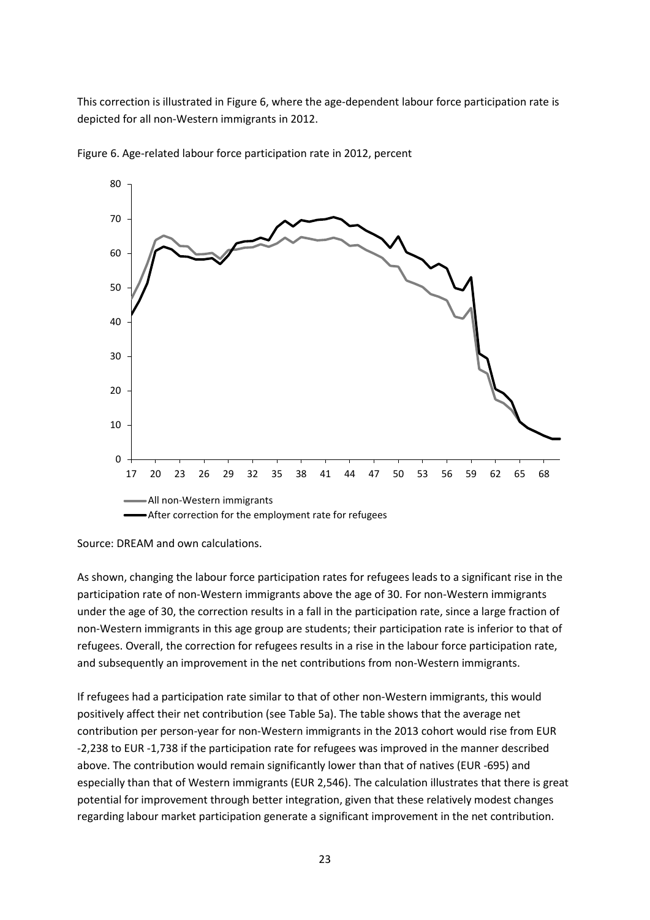This correction is illustrated in Figure 6, where the age-dependent labour force participation rate is depicted for all non-Western immigrants in 2012.



Figure 6. Age-related labour force participation rate in 2012, percent

As shown, changing the labour force participation rates for refugees leads to a significant rise in the participation rate of non-Western immigrants above the age of 30. For non-Western immigrants under the age of 30, the correction results in a fall in the participation rate, since a large fraction of non-Western immigrants in this age group are students; their participation rate is inferior to that of refugees. Overall, the correction for refugees results in a rise in the labour force participation rate, and subsequently an improvement in the net contributions from non-Western immigrants.

If refugees had a participation rate similar to that of other non-Western immigrants, this would positively affect their net contribution (see Table 5a). The table shows that the average net contribution per person-year for non-Western immigrants in the 2013 cohort would rise from EUR -2,238 to EUR -1,738 if the participation rate for refugees was improved in the manner described above. The contribution would remain significantly lower than that of natives (EUR -695) and especially than that of Western immigrants (EUR 2,546). The calculation illustrates that there is great potential for improvement through better integration, given that these relatively modest changes regarding labour market participation generate a significant improvement in the net contribution.

Source: DREAM and own calculations.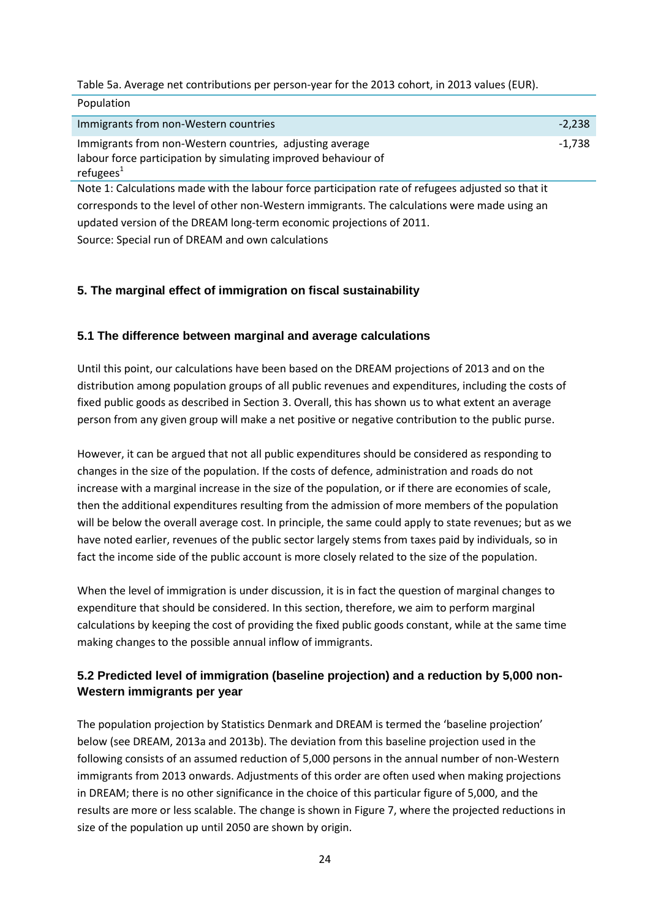Table 5a. Average net contributions per person-year for the 2013 cohort, in 2013 values (EUR).

| Population                                                                                                                                  |          |
|---------------------------------------------------------------------------------------------------------------------------------------------|----------|
| Immigrants from non-Western countries                                                                                                       | $-2.238$ |
| Immigrants from non-Western countries, adjusting average<br>labour force participation by simulating improved behaviour of<br>refugees $^1$ | -1.738   |

Note 1: Calculations made with the labour force participation rate of refugees adjusted so that it corresponds to the level of other non-Western immigrants. The calculations were made using an updated version of the DREAM long-term economic projections of 2011.

Source: Special run of DREAM and own calculations

**Population** 

#### **5. The marginal effect of immigration on fiscal sustainability**

#### **5.1 The difference between marginal and average calculations**

Until this point, our calculations have been based on the DREAM projections of 2013 and on the distribution among population groups of all public revenues and expenditures, including the costs of fixed public goods as described in Section 3. Overall, this has shown us to what extent an average person from any given group will make a net positive or negative contribution to the public purse.

However, it can be argued that not all public expenditures should be considered as responding to changes in the size of the population. If the costs of defence, administration and roads do not increase with a marginal increase in the size of the population, or if there are economies of scale, then the additional expenditures resulting from the admission of more members of the population will be below the overall average cost. In principle, the same could apply to state revenues; but as we have noted earlier, revenues of the public sector largely stems from taxes paid by individuals, so in fact the income side of the public account is more closely related to the size of the population.

When the level of immigration is under discussion, it is in fact the question of marginal changes to expenditure that should be considered. In this section, therefore, we aim to perform marginal calculations by keeping the cost of providing the fixed public goods constant, while at the same time making changes to the possible annual inflow of immigrants.

#### **5.2 Predicted level of immigration (baseline projection) and a reduction by 5,000 non-Western immigrants per year**

The population projection by Statistics Denmark and DREAM is termed the 'baseline projection' below (see DREAM, 2013a and 2013b). The deviation from this baseline projection used in the following consists of an assumed reduction of 5,000 persons in the annual number of non-Western immigrants from 2013 onwards. Adjustments of this order are often used when making projections in DREAM; there is no other significance in the choice of this particular figure of 5,000, and the results are more or less scalable. The change is shown in Figure 7, where the projected reductions in size of the population up until 2050 are shown by origin.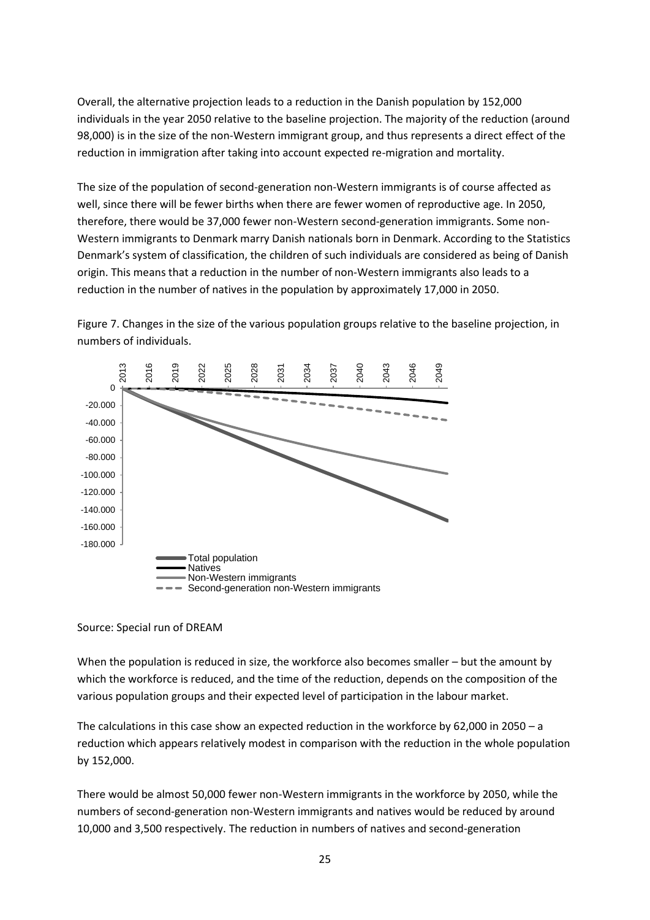Overall, the alternative projection leads to a reduction in the Danish population by 152,000 individuals in the year 2050 relative to the baseline projection. The majority of the reduction (around 98,000) is in the size of the non-Western immigrant group, and thus represents a direct effect of the reduction in immigration after taking into account expected re-migration and mortality.

The size of the population of second-generation non-Western immigrants is of course affected as well, since there will be fewer births when there are fewer women of reproductive age. In 2050, therefore, there would be 37,000 fewer non-Western second-generation immigrants. Some non-Western immigrants to Denmark marry Danish nationals born in Denmark. According to the Statistics Denmark's system of classification, the children of such individuals are considered as being of Danish origin. This means that a reduction in the number of non-Western immigrants also leads to a reduction in the number of natives in the population by approximately 17,000 in 2050.

Figure 7. Changes in the size of the various population groups relative to the baseline projection, in numbers of individuals.



#### Source: Special run of DREAM

When the population is reduced in size, the workforce also becomes smaller – but the amount by which the workforce is reduced, and the time of the reduction, depends on the composition of the various population groups and their expected level of participation in the labour market.

The calculations in this case show an expected reduction in the workforce by 62,000 in 2050 – a reduction which appears relatively modest in comparison with the reduction in the whole population by 152,000.

There would be almost 50,000 fewer non-Western immigrants in the workforce by 2050, while the numbers of second-generation non-Western immigrants and natives would be reduced by around 10,000 and 3,500 respectively. The reduction in numbers of natives and second-generation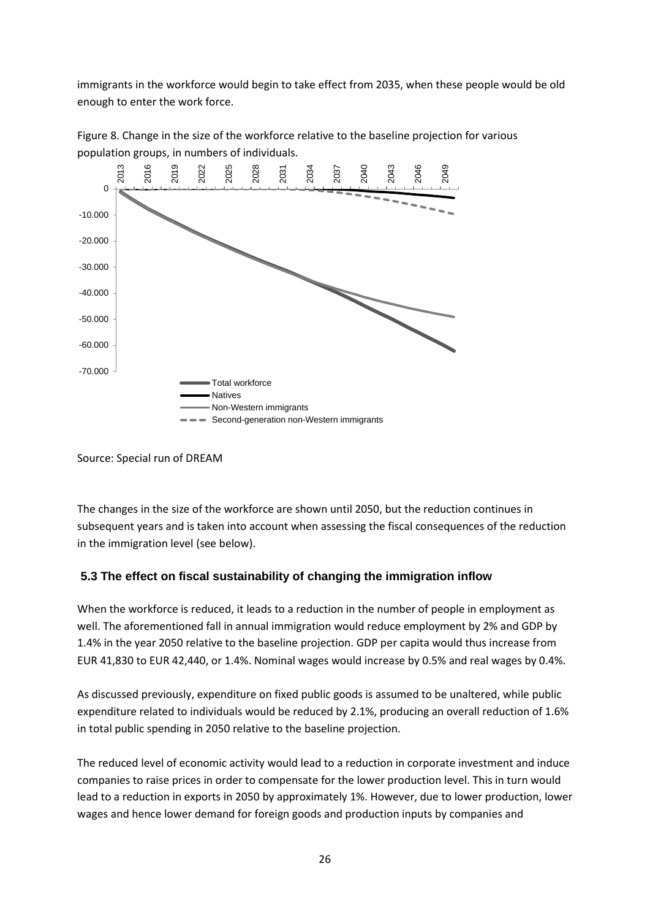immigrants in the workforce would begin to take effect from 2035, when these people would be old enough to enter the work force.



Figure 8. Change in the size of the workforce relative to the baseline projection for various population groups, in numbers of individuals.

The changes in the size of the workforce are shown until 2050, but the reduction continues in subsequent years and is taken into account when assessing the fiscal consequences of the reduction in the immigration level (see below).

#### **5.3 The effect on fiscal sustainability of changing the immigration inflow**

When the workforce is reduced, it leads to a reduction in the number of people in employment as well. The aforementioned fall in annual immigration would reduce employment by 2% and GDP by 1.4% in the year 2050 relative to the baseline projection. GDP per capita would thus increase from EUR 41,830 to EUR 42,440, or 1.4%. Nominal wages would increase by 0.5% and real wages by 0.4%.

As discussed previously, expenditure on fixed public goods is assumed to be unaltered, while public expenditure related to individuals would be reduced by 2.1%, producing an overall reduction of 1.6% in total public spending in 2050 relative to the baseline projection.

The reduced level of economic activity would lead to a reduction in corporate investment and induce companies to raise prices in order to compensate for the lower production level. This in turn would lead to a reduction in exports in 2050 by approximately 1%. However, due to lower production, lower wages and hence lower demand for foreign goods and production inputs by companies and

Source: Special run of DREAM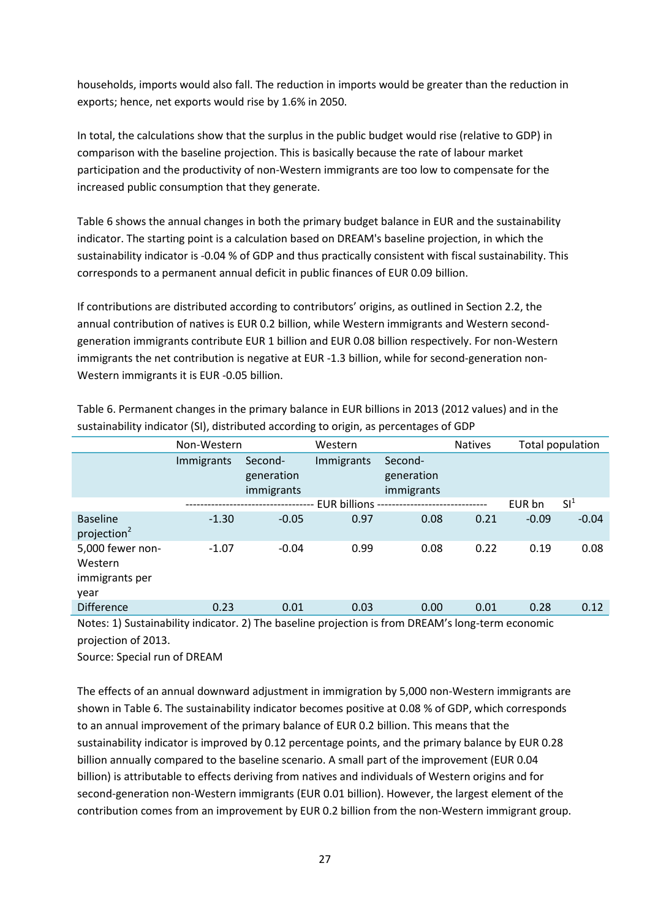households, imports would also fall. The reduction in imports would be greater than the reduction in exports; hence, net exports would rise by 1.6% in 2050.

In total, the calculations show that the surplus in the public budget would rise (relative to GDP) in comparison with the baseline projection. This is basically because the rate of labour market participation and the productivity of non-Western immigrants are too low to compensate for the increased public consumption that they generate.

Table 6 shows the annual changes in both the primary budget balance in EUR and the sustainability indicator. The starting point is a calculation based on DREAM's baseline projection, in which the sustainability indicator is -0.04 % of GDP and thus practically consistent with fiscal sustainability. This corresponds to a permanent annual deficit in public finances of EUR 0.09 billion.

If contributions are distributed according to contributors' origins, as outlined in Section 2.2, the annual contribution of natives is EUR 0.2 billion, while Western immigrants and Western secondgeneration immigrants contribute EUR 1 billion and EUR 0.08 billion respectively. For non-Western immigrants the net contribution is negative at EUR -1.3 billion, while for second-generation non-Western immigrants it is EUR -0.05 billion.

|                                                       | Non-Western |                                     | Western        |                                     | <b>Natives</b> |         | Total population |
|-------------------------------------------------------|-------------|-------------------------------------|----------------|-------------------------------------|----------------|---------|------------------|
|                                                       | Immigrants  | Second-<br>generation<br>immigrants | Immigrants     | Second-<br>generation<br>immigrants |                |         |                  |
|                                                       |             |                                     | EUR billions - |                                     |                | EUR bn  | $SI^1$           |
| <b>Baseline</b><br>projection <sup>2</sup>            | $-1.30$     | $-0.05$                             | 0.97           | 0.08                                | 0.21           | $-0.09$ | $-0.04$          |
| 5,000 fewer non-<br>Western<br>immigrants per<br>year | $-1.07$     | $-0.04$                             | 0.99           | 0.08                                | 0.22           | 0.19    | 0.08             |
| <b>Difference</b>                                     | 0.23        | 0.01                                | 0.03           | 0.00                                | 0.01           | 0.28    | 0.12             |

Table 6. Permanent changes in the primary balance in EUR billions in 2013 (2012 values) and in the sustainability indicator (SI), distributed according to origin, as percentages of GDP

Notes: 1) Sustainability indicator. 2) The baseline projection is from DREAM's long-term economic projection of 2013.

Source: Special run of DREAM

The effects of an annual downward adjustment in immigration by 5,000 non-Western immigrants are shown in Table 6. The sustainability indicator becomes positive at 0.08 % of GDP, which corresponds to an annual improvement of the primary balance of EUR 0.2 billion. This means that the sustainability indicator is improved by 0.12 percentage points, and the primary balance by EUR 0.28 billion annually compared to the baseline scenario. A small part of the improvement (EUR 0.04 billion) is attributable to effects deriving from natives and individuals of Western origins and for second-generation non-Western immigrants (EUR 0.01 billion). However, the largest element of the contribution comes from an improvement by EUR 0.2 billion from the non-Western immigrant group.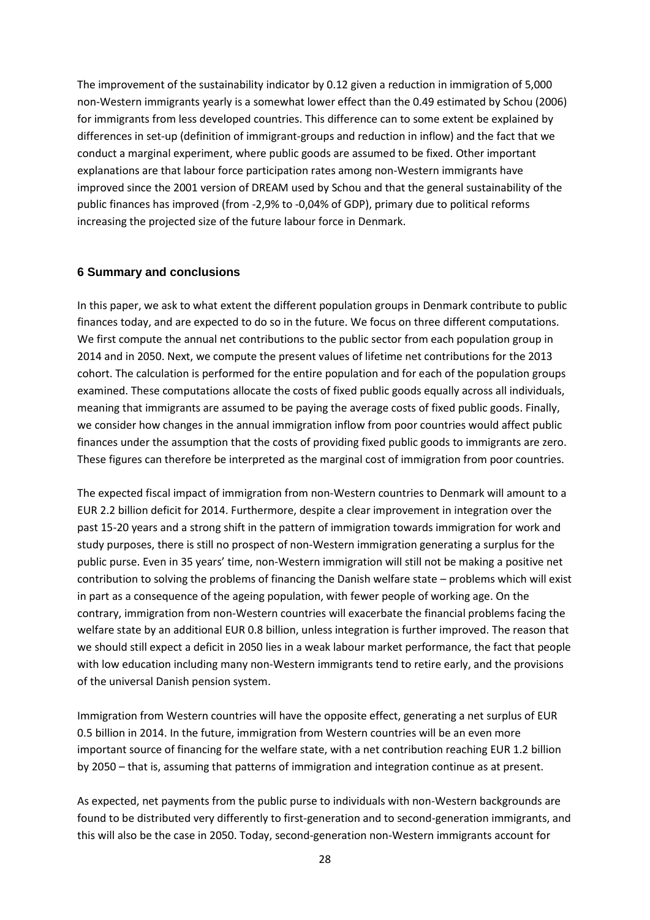The improvement of the sustainability indicator by 0.12 given a reduction in immigration of 5,000 non-Western immigrants yearly is a somewhat lower effect than the 0.49 estimated by Schou (2006) for immigrants from less developed countries. This difference can to some extent be explained by differences in set-up (definition of immigrant-groups and reduction in inflow) and the fact that we conduct a marginal experiment, where public goods are assumed to be fixed. Other important explanations are that labour force participation rates among non-Western immigrants have improved since the 2001 version of DREAM used by Schou and that the general sustainability of the public finances has improved (from -2,9% to -0,04% of GDP), primary due to political reforms increasing the projected size of the future labour force in Denmark.

#### **6 Summary and conclusions**

In this paper, we ask to what extent the different population groups in Denmark contribute to public finances today, and are expected to do so in the future. We focus on three different computations. We first compute the annual net contributions to the public sector from each population group in 2014 and in 2050. Next, we compute the present values of lifetime net contributions for the 2013 cohort. The calculation is performed for the entire population and for each of the population groups examined. These computations allocate the costs of fixed public goods equally across all individuals, meaning that immigrants are assumed to be paying the average costs of fixed public goods. Finally, we consider how changes in the annual immigration inflow from poor countries would affect public finances under the assumption that the costs of providing fixed public goods to immigrants are zero. These figures can therefore be interpreted as the marginal cost of immigration from poor countries.

The expected fiscal impact of immigration from non-Western countries to Denmark will amount to a EUR 2.2 billion deficit for 2014. Furthermore, despite a clear improvement in integration over the past 15-20 years and a strong shift in the pattern of immigration towards immigration for work and study purposes, there is still no prospect of non-Western immigration generating a surplus for the public purse. Even in 35 years' time, non-Western immigration will still not be making a positive net contribution to solving the problems of financing the Danish welfare state – problems which will exist in part as a consequence of the ageing population, with fewer people of working age. On the contrary, immigration from non-Western countries will exacerbate the financial problems facing the welfare state by an additional EUR 0.8 billion, unless integration is further improved. The reason that we should still expect a deficit in 2050 lies in a weak labour market performance, the fact that people with low education including many non-Western immigrants tend to retire early, and the provisions of the universal Danish pension system.

Immigration from Western countries will have the opposite effect, generating a net surplus of EUR 0.5 billion in 2014. In the future, immigration from Western countries will be an even more important source of financing for the welfare state, with a net contribution reaching EUR 1.2 billion by 2050 – that is, assuming that patterns of immigration and integration continue as at present.

As expected, net payments from the public purse to individuals with non-Western backgrounds are found to be distributed very differently to first-generation and to second-generation immigrants, and this will also be the case in 2050. Today, second-generation non-Western immigrants account for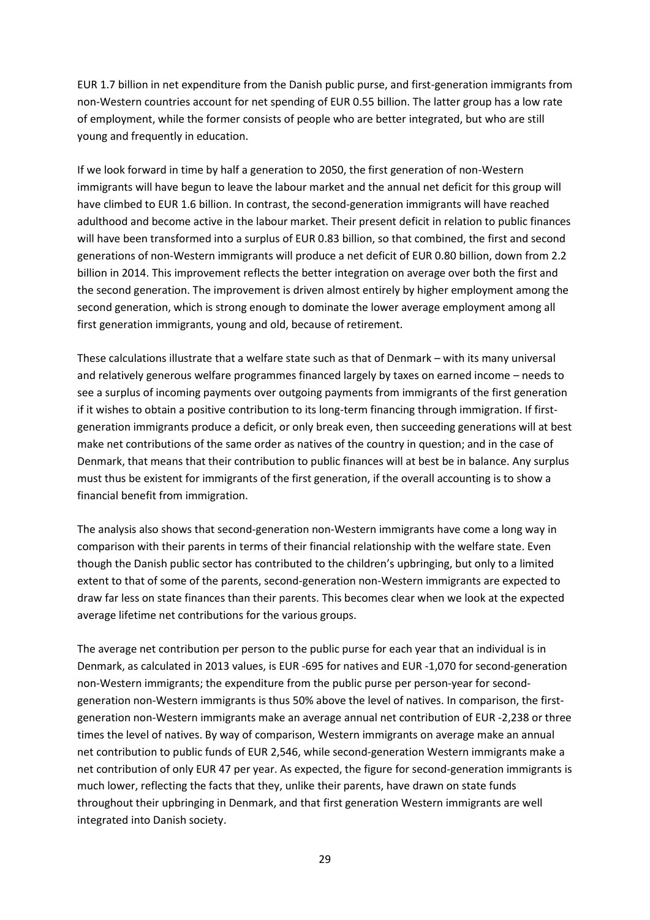EUR 1.7 billion in net expenditure from the Danish public purse, and first-generation immigrants from non-Western countries account for net spending of EUR 0.55 billion. The latter group has a low rate of employment, while the former consists of people who are better integrated, but who are still young and frequently in education.

If we look forward in time by half a generation to 2050, the first generation of non-Western immigrants will have begun to leave the labour market and the annual net deficit for this group will have climbed to EUR 1.6 billion. In contrast, the second-generation immigrants will have reached adulthood and become active in the labour market. Their present deficit in relation to public finances will have been transformed into a surplus of EUR 0.83 billion, so that combined, the first and second generations of non-Western immigrants will produce a net deficit of EUR 0.80 billion, down from 2.2 billion in 2014. This improvement reflects the better integration on average over both the first and the second generation. The improvement is driven almost entirely by higher employment among the second generation, which is strong enough to dominate the lower average employment among all first generation immigrants, young and old, because of retirement.

These calculations illustrate that a welfare state such as that of Denmark – with its many universal and relatively generous welfare programmes financed largely by taxes on earned income – needs to see a surplus of incoming payments over outgoing payments from immigrants of the first generation if it wishes to obtain a positive contribution to its long-term financing through immigration. If firstgeneration immigrants produce a deficit, or only break even, then succeeding generations will at best make net contributions of the same order as natives of the country in question; and in the case of Denmark, that means that their contribution to public finances will at best be in balance. Any surplus must thus be existent for immigrants of the first generation, if the overall accounting is to show a financial benefit from immigration.

The analysis also shows that second-generation non-Western immigrants have come a long way in comparison with their parents in terms of their financial relationship with the welfare state. Even though the Danish public sector has contributed to the children's upbringing, but only to a limited extent to that of some of the parents, second-generation non-Western immigrants are expected to draw far less on state finances than their parents. This becomes clear when we look at the expected average lifetime net contributions for the various groups.

The average net contribution per person to the public purse for each year that an individual is in Denmark, as calculated in 2013 values, is EUR -695 for natives and EUR -1,070 for second-generation non-Western immigrants; the expenditure from the public purse per person-year for secondgeneration non-Western immigrants is thus 50% above the level of natives. In comparison, the firstgeneration non-Western immigrants make an average annual net contribution of EUR -2,238 or three times the level of natives. By way of comparison, Western immigrants on average make an annual net contribution to public funds of EUR 2,546, while second-generation Western immigrants make a net contribution of only EUR 47 per year. As expected, the figure for second-generation immigrants is much lower, reflecting the facts that they, unlike their parents, have drawn on state funds throughout their upbringing in Denmark, and that first generation Western immigrants are well integrated into Danish society.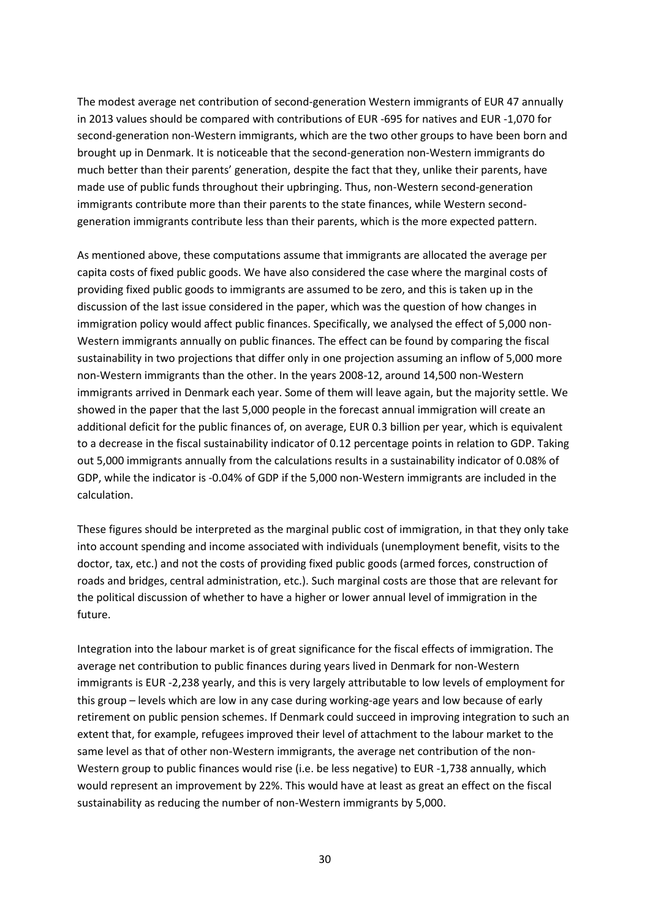The modest average net contribution of second-generation Western immigrants of EUR 47 annually in 2013 values should be compared with contributions of EUR -695 for natives and EUR -1,070 for second-generation non-Western immigrants, which are the two other groups to have been born and brought up in Denmark. It is noticeable that the second-generation non-Western immigrants do much better than their parents' generation, despite the fact that they, unlike their parents, have made use of public funds throughout their upbringing. Thus, non-Western second-generation immigrants contribute more than their parents to the state finances, while Western secondgeneration immigrants contribute less than their parents, which is the more expected pattern.

As mentioned above, these computations assume that immigrants are allocated the average per capita costs of fixed public goods. We have also considered the case where the marginal costs of providing fixed public goods to immigrants are assumed to be zero, and this is taken up in the discussion of the last issue considered in the paper, which was the question of how changes in immigration policy would affect public finances. Specifically, we analysed the effect of 5,000 non-Western immigrants annually on public finances. The effect can be found by comparing the fiscal sustainability in two projections that differ only in one projection assuming an inflow of 5,000 more non-Western immigrants than the other. In the years 2008-12, around 14,500 non-Western immigrants arrived in Denmark each year. Some of them will leave again, but the majority settle. We showed in the paper that the last 5,000 people in the forecast annual immigration will create an additional deficit for the public finances of, on average, EUR 0.3 billion per year, which is equivalent to a decrease in the fiscal sustainability indicator of 0.12 percentage points in relation to GDP. Taking out 5,000 immigrants annually from the calculations results in a sustainability indicator of 0.08% of GDP, while the indicator is -0.04% of GDP if the 5,000 non-Western immigrants are included in the calculation.

These figures should be interpreted as the marginal public cost of immigration, in that they only take into account spending and income associated with individuals (unemployment benefit, visits to the doctor, tax, etc.) and not the costs of providing fixed public goods (armed forces, construction of roads and bridges, central administration, etc.). Such marginal costs are those that are relevant for the political discussion of whether to have a higher or lower annual level of immigration in the future.

Integration into the labour market is of great significance for the fiscal effects of immigration. The average net contribution to public finances during years lived in Denmark for non-Western immigrants is EUR -2,238 yearly, and this is very largely attributable to low levels of employment for this group – levels which are low in any case during working-age years and low because of early retirement on public pension schemes. If Denmark could succeed in improving integration to such an extent that, for example, refugees improved their level of attachment to the labour market to the same level as that of other non-Western immigrants, the average net contribution of the non-Western group to public finances would rise (i.e. be less negative) to EUR -1,738 annually, which would represent an improvement by 22%. This would have at least as great an effect on the fiscal sustainability as reducing the number of non-Western immigrants by 5,000.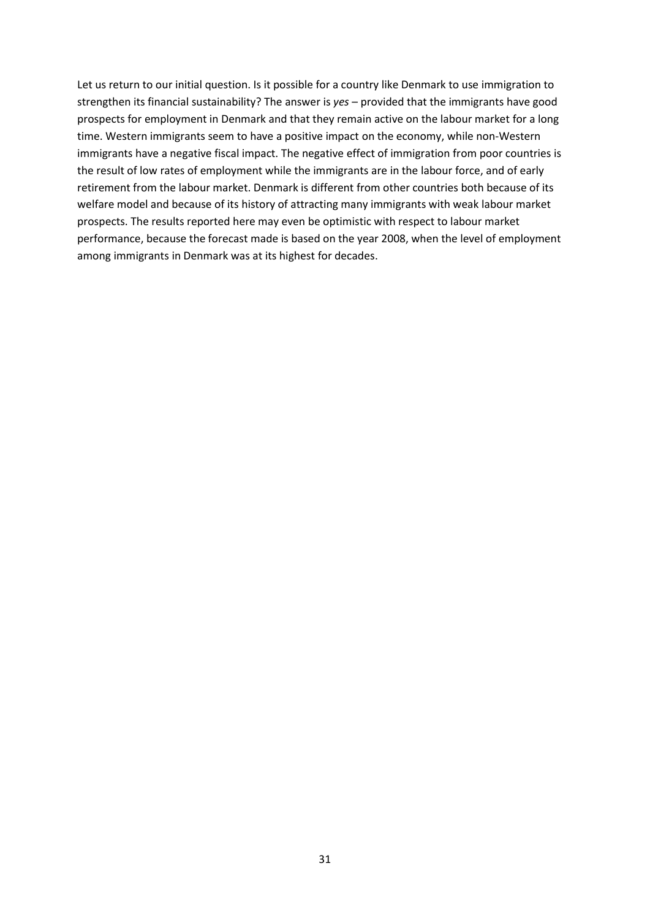Let us return to our initial question. Is it possible for a country like Denmark to use immigration to strengthen its financial sustainability? The answer is *yes* – provided that the immigrants have good prospects for employment in Denmark and that they remain active on the labour market for a long time. Western immigrants seem to have a positive impact on the economy, while non-Western immigrants have a negative fiscal impact. The negative effect of immigration from poor countries is the result of low rates of employment while the immigrants are in the labour force, and of early retirement from the labour market. Denmark is different from other countries both because of its welfare model and because of its history of attracting many immigrants with weak labour market prospects. The results reported here may even be optimistic with respect to labour market performance, because the forecast made is based on the year 2008, when the level of employment among immigrants in Denmark was at its highest for decades.